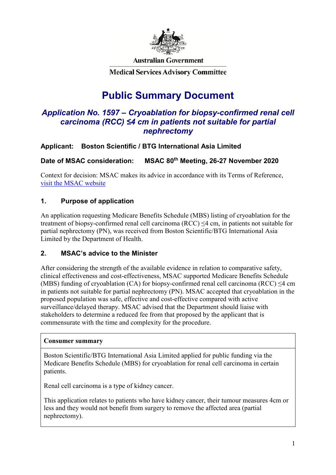

**Australian Government** 

**Medical Services Advisory Committee** 

# **Public Summary Document**

# *Application No. 1597 – Cryoablation for biopsy-confirmed renal cell carcinoma (RCC) ≤4 cm in patients not suitable for partial nephrectomy*

# **Applicant: Boston Scientific / BTG International Asia Limited**

**Date of MSAC consideration: MSAC 80th Meeting, 26-27 November 2020**

Context for decision: MSAC makes its advice in accordance with its Terms of Reference, [visit the MSAC website](http://www.msac.gov.au/)

# **1. Purpose of application**

An application requesting Medicare Benefits Schedule (MBS) listing of cryoablation for the treatment of biopsy-confirmed renal cell carcinoma (RCC) ≤4 cm, in patients not suitable for partial nephrectomy (PN), was received from Boston Scientific/BTG International Asia Limited by the Department of Health.

# **2. MSAC's advice to the Minister**

After considering the strength of the available evidence in relation to comparative safety, clinical effectiveness and cost-effectiveness, MSAC supported Medicare Benefits Schedule (MBS) funding of cryoablation (CA) for biopsy-confirmed renal cell carcinoma (RCC)  $\leq 4$  cm in patients not suitable for partial nephrectomy (PN). MSAC accepted that cryoablation in the proposed population was safe, effective and cost-effective compared with active surveillance/delayed therapy. MSAC advised that the Department should liaise with stakeholders to determine a reduced fee from that proposed by the applicant that is commensurate with the time and complexity for the procedure.

#### **Consumer summary**

Boston Scientific/BTG International Asia Limited applied for public funding via the Medicare Benefits Schedule (MBS) for cryoablation for renal cell carcinoma in certain patients.

Renal cell carcinoma is a type of kidney cancer.

This application relates to patients who have kidney cancer, their tumour measures 4cm or less and they would not benefit from surgery to remove the affected area (partial nephrectomy).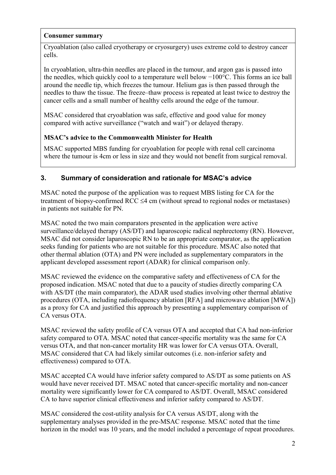#### **Consumer summary**

Cryoablation (also called cryotherapy or cryosurgery) uses extreme cold to destroy cancer cells.

In cryoablation, ultra-thin needles are placed in the tumour, and argon gas is passed into the needles, which quickly cool to a temperature well below −100°C. This forms an ice ball around the needle tip, which freezes the tumour. Helium gas is then passed through the needles to thaw the tissue. The freeze–thaw process is repeated at least twice to destroy the cancer cells and a small number of healthy cells around the edge of the tumour.

MSAC considered that cryoablation was safe, effective and good value for money compared with active surveillance ("watch and wait") or delayed therapy.

# **MSAC's advice to the Commonwealth Minister for Health**

MSAC supported MBS funding for cryoablation for people with renal cell carcinoma where the tumour is 4cm or less in size and they would not benefit from surgical removal.

# **3. Summary of consideration and rationale for MSAC's advice**

MSAC noted the purpose of the application was to request MBS listing for CA for the treatment of biopsy-confirmed RCC ≤4 cm (without spread to regional nodes or metastases) in patients not suitable for PN.

MSAC noted the two main comparators presented in the application were active surveillance/delayed therapy (AS/DT) and laparoscopic radical nephrectomy (RN). However, MSAC did not consider laparoscopic RN to be an appropriate comparator, as the application seeks funding for patients who are not suitable for this procedure. MSAC also noted that other thermal ablation (OTA) and PN were included as supplementary comparators in the applicant developed assessment report (ADAR) for clinical comparison only.

MSAC reviewed the evidence on the comparative safety and effectiveness of CA for the proposed indication. MSAC noted that due to a paucity of studies directly comparing CA with AS/DT (the main comparator), the ADAR used studies involving other thermal ablative procedures (OTA, including radiofrequency ablation [RFA] and microwave ablation [MWA]) as a proxy for CA and justified this approach by presenting a supplementary comparison of CA versus OTA.

MSAC reviewed the safety profile of CA versus OTA and accepted that CA had non-inferior safety compared to OTA. MSAC noted that cancer-specific mortality was the same for CA versus OTA, and that non-cancer mortality HR was lower for CA versus OTA. Overall, MSAC considered that CA had likely similar outcomes (i.e. non-inferior safety and effectiveness) compared to OTA.

MSAC accepted CA would have inferior safety compared to AS/DT as some patients on AS would have never received DT. MSAC noted that cancer-specific mortality and non-cancer mortality were significantly lower for CA compared to AS/DT. Overall, MSAC considered CA to have superior clinical effectiveness and inferior safety compared to AS/DT.

MSAC considered the cost-utility analysis for CA versus AS/DT, along with the supplementary analyses provided in the pre-MSAC response. MSAC noted that the time horizon in the model was 10 years, and the model included a percentage of repeat procedures.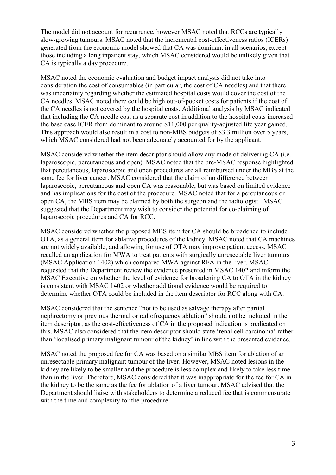The model did not account for recurrence, however MSAC noted that RCCs are typically slow-growing tumours. MSAC noted that the incremental cost-effectiveness ratios (ICERs) generated from the economic model showed that CA was dominant in all scenarios, except those including a long inpatient stay, which MSAC considered would be unlikely given that CA is typically a day procedure.

MSAC noted the economic evaluation and budget impact analysis did not take into consideration the cost of consumables (in particular, the cost of CA needles) and that there was uncertainty regarding whether the estimated hospital costs would cover the cost of the CA needles. MSAC noted there could be high out-of-pocket costs for patients if the cost of the CA needles is not covered by the hospital costs. Additional analysis by MSAC indicated that including the CA needle cost as a separate cost in addition to the hospital costs increased the base case ICER from dominant to around \$11,000 per quality-adjusted life year gained. This approach would also result in a cost to non-MBS budgets of \$3.3 million over 5 years, which MSAC considered had not been adequately accounted for by the applicant.

MSAC considered whether the item descriptor should allow any mode of delivering CA (i.e. laparoscopic, percutaneous and open). MSAC noted that the pre-MSAC response highlighted that percutaneous, laparoscopic and open procedures are all reimbursed under the MBS at the same fee for liver cancer. MSAC considered that the claim of no difference between laparoscopic, percutaneous and open CA was reasonable, but was based on limited evidence and has implications for the cost of the procedure. MSAC noted that for a percutaneous or open CA, the MBS item may be claimed by both the surgeon and the radiologist. MSAC suggested that the Department may wish to consider the potential for co-claiming of laparoscopic procedures and CA for RCC.

MSAC considered whether the proposed MBS item for CA should be broadened to include OTA, as a general item for ablative procedures of the kidney. MSAC noted that CA machines are not widely available, and allowing for use of OTA may improve patient access. MSAC recalled an application for MWA to treat patients with surgically unresectable liver tumours (MSAC Application 1402) which compared MWA against RFA in the liver. MSAC requested that the Department review the evidence presented in MSAC 1402 and inform the MSAC Executive on whether the level of evidence for broadening CA to OTA in the kidney is consistent with MSAC 1402 or whether additional evidence would be required to determine whether OTA could be included in the item descriptor for RCC along with CA.

MSAC considered that the sentence "not to be used as salvage therapy after partial nephrectomy or previous thermal or radiofrequency ablation" should not be included in the item descriptor, as the cost-effectiveness of CA in the proposed indication is predicated on this. MSAC also considered that the item descriptor should state 'renal cell carcinoma' rather than 'localised primary malignant tumour of the kidney' in line with the presented evidence.

MSAC noted the proposed fee for CA was based on a similar MBS item for ablation of an unresectable primary malignant tumour of the liver. However, MSAC noted lesions in the kidney are likely to be smaller and the procedure is less complex and likely to take less time than in the liver. Therefore, MSAC considered that it was inappropriate for the fee for CA in the kidney to be the same as the fee for ablation of a liver tumour. MSAC advised that the Department should liaise with stakeholders to determine a reduced fee that is commensurate with the time and complexity for the procedure.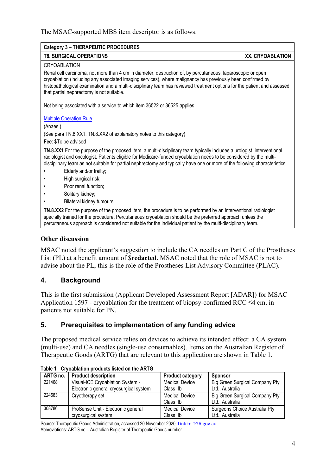#### The MSAC-supported MBS item descriptor is as follows:

| Category 3 - THERAPEUTIC PROCEDURES                                                                                                                                                                                                                                                                                                                                                                |                  |  |  |  |
|----------------------------------------------------------------------------------------------------------------------------------------------------------------------------------------------------------------------------------------------------------------------------------------------------------------------------------------------------------------------------------------------------|------------------|--|--|--|
| <b>T8. SURGICAL OPERATIONS</b>                                                                                                                                                                                                                                                                                                                                                                     | XX. CRYOABLATION |  |  |  |
| <b>CRYOABLATION</b>                                                                                                                                                                                                                                                                                                                                                                                |                  |  |  |  |
| Renal cell carcinoma, not more than 4 cm in diameter, destruction of, by percutaneous, laparoscopic or open<br>cryoablation (including any associated imaging services), where malignancy has previously been confirmed by<br>histopathological examination and a multi-disciplinary team has reviewed treatment options for the patient and assessed<br>that partial nephrectomy is not suitable. |                  |  |  |  |
| Not being associated with a service to which item 36522 or 36525 applies.                                                                                                                                                                                                                                                                                                                          |                  |  |  |  |
| <b>Multiple Operation Rule</b>                                                                                                                                                                                                                                                                                                                                                                     |                  |  |  |  |
| (Anaes.)                                                                                                                                                                                                                                                                                                                                                                                           |                  |  |  |  |
| (See para TN.8.XX1, TN.8.XX2 of explanatory notes to this category)                                                                                                                                                                                                                                                                                                                                |                  |  |  |  |
| Fee: \$To be advised                                                                                                                                                                                                                                                                                                                                                                               |                  |  |  |  |
| TN.8.XX1 For the purpose of the proposed item, a multi-disciplinary team typically includes a urologist, interventional<br>radiologist and oncologist. Patients eligible for Medicare-funded cryoablation needs to be considered by the multi-<br>disciplinary team as not suitable for partial nephrectomy and typically have one or more of the following characteristics:                       |                  |  |  |  |
| Elderly and/or frailty;                                                                                                                                                                                                                                                                                                                                                                            |                  |  |  |  |
| High surgical risk;                                                                                                                                                                                                                                                                                                                                                                                |                  |  |  |  |
| Poor renal function;                                                                                                                                                                                                                                                                                                                                                                               |                  |  |  |  |
| Solitary kidney;                                                                                                                                                                                                                                                                                                                                                                                   |                  |  |  |  |
| Bilateral kidney tumours.                                                                                                                                                                                                                                                                                                                                                                          |                  |  |  |  |
| TN.8.XX2 For the purpose of the proposed item, the procedure is to be performed by an interventional radiologist<br>specially trained for the procedure. Percutaneous cryoablation should be the preferred approach unless the<br>percutaneous approach is considered not suitable for the individual patient by the multi-disciplinary team.                                                      |                  |  |  |  |

#### **Other discussion**

MSAC noted the applicant's suggestion to include the CA needles on Part C of the Prostheses List (PL) at a benefit amount of \$**redacted**. MSAC noted that the role of MSAC is not to advise about the PL; this is the role of the Prostheses List Advisory Committee (PLAC).

#### **4. Background**

This is the first submission (Applicant Developed Assessment Report [ADAR]) for MSAC Application 1597 - cryoablation for the treatment of biopsy-confirmed RCC  $\leq$ 4 cm, in patients not suitable for PN.

#### **5. Prerequisites to implementation of any funding advice**

The proposed medical service relies on devices to achieve its intended effect: a CA system (multi-use) and CA needles (single-use consumables). Items on the Australian Register of Therapeutic Goods (ARTG) that are relevant to this application are shown in Table 1.

| ARTG no. | <b>Product description</b>             | <b>Product category</b> | <b>Sponsor</b>                 |
|----------|----------------------------------------|-------------------------|--------------------------------|
| 221468   | Visual-ICE Cryoablation System -       | <b>Medical Device</b>   | Big Green Surgical Company Pty |
|          | Electronic general cryosurgical system | Class IIb               | Ltd., Australia                |
| 224583   | Cryotherapy set                        | <b>Medical Device</b>   | Big Green Surgical Company Pty |
|          |                                        | Class IIb               | Ltd., Australia                |
| 308786   | ProSense Unit - Electronic general     | <b>Medical Device</b>   | Surgeons Choice Australia Pty  |
|          | cryosurgical system                    | Class IIb               | Ltd Australia                  |

**Table 1 Cryoablation products listed on the ARTG**

Source: Therapeutic Goods Administration, accessed 20 November 2020 [Link to TGA.gov.au](https://www.ebs.tga.gov.au/) Abbreviations: ARTG no.= Australian Register of Therapeutic Goods number.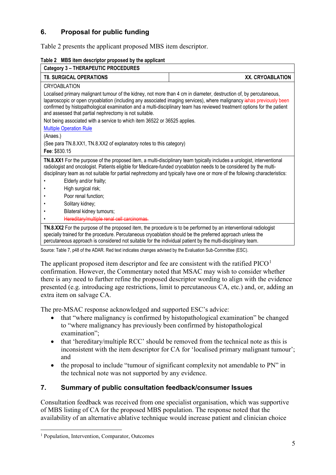# **6. Proposal for public funding**

<span id="page-4-0"></span>[Table 2](#page-4-0) presents the applicant proposed MBS item descriptor.

| <b>T8. SURGICAL OPERATIONS</b><br>XX. CRYOABLATION<br><b>CRYOABLATION</b><br>Localised primary malignant tumour of the kidney, not more than 4 cm in diameter, destruction of, by percutaneous,<br>laparoscopic or open cryoablation (including any associated imaging services), where malignancy ishas previously been<br>confirmed by histopathological examination and a multi-disciplinary team has reviewed treatment options for the patient<br>and assessed that partial nephrectomy is not suitable.<br>Not being associated with a service to which item 36522 or 36525 applies.<br><b>Multiple Operation Rule</b> |  |  |  |  |
|------------------------------------------------------------------------------------------------------------------------------------------------------------------------------------------------------------------------------------------------------------------------------------------------------------------------------------------------------------------------------------------------------------------------------------------------------------------------------------------------------------------------------------------------------------------------------------------------------------------------------|--|--|--|--|
|                                                                                                                                                                                                                                                                                                                                                                                                                                                                                                                                                                                                                              |  |  |  |  |
|                                                                                                                                                                                                                                                                                                                                                                                                                                                                                                                                                                                                                              |  |  |  |  |
|                                                                                                                                                                                                                                                                                                                                                                                                                                                                                                                                                                                                                              |  |  |  |  |
|                                                                                                                                                                                                                                                                                                                                                                                                                                                                                                                                                                                                                              |  |  |  |  |
|                                                                                                                                                                                                                                                                                                                                                                                                                                                                                                                                                                                                                              |  |  |  |  |
| (Anaes.)                                                                                                                                                                                                                                                                                                                                                                                                                                                                                                                                                                                                                     |  |  |  |  |
| (See para TN.8.XX1, TN.8.XX2 of explanatory notes to this category)                                                                                                                                                                                                                                                                                                                                                                                                                                                                                                                                                          |  |  |  |  |
| Fee: \$830.15                                                                                                                                                                                                                                                                                                                                                                                                                                                                                                                                                                                                                |  |  |  |  |
| TN.8.XX1 For the purpose of the proposed item, a multi-disciplinary team typically includes a urologist, interventional<br>radiologist and oncologist. Patients eligible for Medicare-funded cryoablation needs to be considered by the multi-<br>disciplinary team as not suitable for partial nephrectomy and typically have one or more of the following characteristics:                                                                                                                                                                                                                                                 |  |  |  |  |
| Elderly and/or frailty;                                                                                                                                                                                                                                                                                                                                                                                                                                                                                                                                                                                                      |  |  |  |  |
| High surgical risk;                                                                                                                                                                                                                                                                                                                                                                                                                                                                                                                                                                                                          |  |  |  |  |
| Poor renal function;                                                                                                                                                                                                                                                                                                                                                                                                                                                                                                                                                                                                         |  |  |  |  |
| Solitary kidney;                                                                                                                                                                                                                                                                                                                                                                                                                                                                                                                                                                                                             |  |  |  |  |
| Bilateral kidney tumours;                                                                                                                                                                                                                                                                                                                                                                                                                                                                                                                                                                                                    |  |  |  |  |
| Hereditary/multiple renal cell carcinomas.                                                                                                                                                                                                                                                                                                                                                                                                                                                                                                                                                                                   |  |  |  |  |
| TN.8.XX2 For the purpose of the proposed item, the procedure is to be performed by an interventional radiologist<br>specially trained for the procedure. Percutaneous cryoablation should be the preferred approach unless the<br>percutaneous approach is considered not suitable for the individual patient by the multi-disciplinary team.                                                                                                                                                                                                                                                                                |  |  |  |  |

**Table 2 MBS item descriptor proposed by the applicant**

Source: Table 7, p48 of the ADAR. Red text indicates changes advised by the Evaluation Sub-Committee (ESC).

The applicant proposed item descriptor and fee are consistent with the ratified  $PICO<sup>1</sup>$  $PICO<sup>1</sup>$  $PICO<sup>1</sup>$ confirmation. However, the Commentary noted that MSAC may wish to consider whether there is any need to further refine the proposed descriptor wording to align with the evidence presented (e.g. introducing age restrictions, limit to percutaneous CA, etc.) and, or, adding an extra item on salvage CA.

The pre-MSAC response acknowledged and supported ESC's advice:

- that "where malignancy is confirmed by histopathological examination" be changed to "where malignancy has previously been confirmed by histopathological examination";
- that 'hereditary/multiple RCC' should be removed from the technical note as this is inconsistent with the item descriptor for CA for 'localised primary malignant tumour'; and
- the proposal to include "tumour of significant complexity not amendable to PN" in the technical note was not supported by any evidence.

# **7. Summary of public consultation feedback/consumer Issues**

Consultation feedback was received from one specialist organisation, which was supportive of MBS listing of CA for the proposed MBS population. The response noted that the availability of an alternative ablative technique would increase patient and clinician choice

<span id="page-4-1"></span><sup>&</sup>lt;sup>1</sup> Population, Intervention, Comparator, Outcomes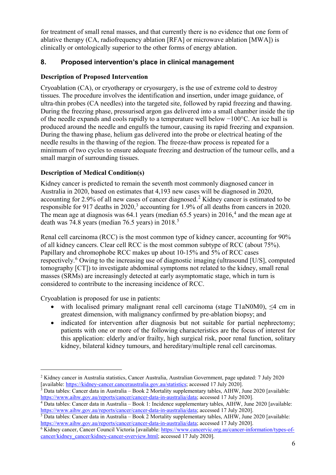for treatment of small renal masses, and that currently there is no evidence that one form of ablative therapy (CA, radiofrequency ablation [RFA] or microwave ablation [MWA]) is clinically or ontologically superior to the other forms of energy ablation.

# **8. Proposed intervention's place in clinical management**

# **Description of Proposed Intervention**

Cryoablation (CA), or cryotherapy or cryosurgery, is the use of extreme cold to destroy tissues. The procedure involves the identification and insertion, under image guidance, of ultra-thin probes (CA needles) into the targeted site, followed by rapid freezing and thawing. During the freezing phase, pressurised argon gas delivered into a small chamber inside the tip of the needle expands and cools rapidly to a temperature well below −100°C. An ice ball is produced around the needle and engulfs the tumour, causing its rapid freezing and expansion. During the thawing phase, helium gas delivered into the probe or electrical heating of the needle results in the thawing of the region. The freeze-thaw process is repeated for a minimum of two cycles to ensure adequate freezing and destruction of the tumour cells, and a small margin of surrounding tissues.

# **Description of Medical Condition(s)**

Kidney cancer is predicted to remain the seventh most commonly diagnosed cancer in Australia in 2020, based on estimates that 4,193 new cases will be diagnosed in 2020, accounting for [2](#page-5-0).9% of all new cases of cancer diagnosed.<sup>2</sup> Kidney cancer is estimated to be responsible for 917 deaths in 2020,<sup>[3](#page-5-1)</sup> accounting for 1.9% of all deaths from cancers in 2020. The mean age at diagnosis was  $64.1$  $64.1$  $64.1$  years (median  $65.5$  years) in  $2016<sup>4</sup>$  and the mean age at death was 74.8 years (median 76.[5](#page-5-3) years) in 2018.<sup>5</sup>

Renal cell carcinoma (RCC) is the most common type of kidney cancer, accounting for 90% of all kidney cancers. Clear cell RCC is the most common subtype of RCC (about 75%). Papillary and chromophobe RCC makes up about 10-15% and 5% of RCC cases respectively.<sup>[6](#page-5-4)</sup> Owing to the increasing use of diagnostic imaging (ultrasound [U/S], computed tomography [CT]) to investigate abdominal symptoms not related to the kidney, small renal masses (SRMs) are increasingly detected at early asymptomatic stage, which in turn is considered to contribute to the increasing incidence of RCC.

Cryoablation is proposed for use in patients:

- with localised primary malignant renal cell carcinoma (stage T1aN0M0), <4 cm in greatest dimension, with malignancy confirmed by pre-ablation biopsy; and
- indicated for intervention after diagnosis but not suitable for partial nephrectomy; patients with one or more of the following characteristics are the focus of interest for this application: elderly and/or frailty, high surgical risk, poor renal function, solitary kidney, bilateral kidney tumours, and hereditary/multiple renal cell carcinomas.

<span id="page-5-0"></span> <sup>2</sup> Kidney cancer in Australia statistics, Cancer Australia, Australian Government, page updated: 7 July 2020 [available[: https://kidney-cancer.canceraustralia.gov.au/statistics](https://kidney-cancer.canceraustralia.gov.au/statistics); accessed 17 July 2020].

<span id="page-5-1"></span> $\frac{3}{3}$  Data tables: Cancer data in Australia – Book 2 Mortality supplementary tables, AIHW, June 2020 [available: https://www.aihw.gov.au/reports/cancer/cancer-data-in-australia/data; accessed 17 July 2020].

<span id="page-5-2"></span> $\frac{4}{3}$  Data tables: Cancer data in Australia – Book 1: Incidence supplementary tables, AIHW, June 2020 [available: <https://www.aihw.gov.au/reports/cancer/cancer-data-in-australia/data>; accessed 17 July 2020].

<span id="page-5-3"></span><sup>5</sup> Data tables: Cancer data in Australia – Book 2 Mortality supplementary tables, AIHW, June 2020 [available: <https://www.aihw.gov.au/reports/cancer/cancer-data-in-australia/data>; accessed 17 July 2020].

<span id="page-5-4"></span><sup>&</sup>lt;sup>6</sup> Kidney cancer, Cancer Council Victoria [available[: https://www.cancervic.org.au/cancer-information/types-of](https://www.cancervic.org.au/cancer-information/types-of-cancer/kidney_cancer/kidney-cancer-overview.html)[cancer/kidney\\_cancer/kidney-cancer-overview.html](https://www.cancervic.org.au/cancer-information/types-of-cancer/kidney_cancer/kidney-cancer-overview.html); accessed 17 July 2020].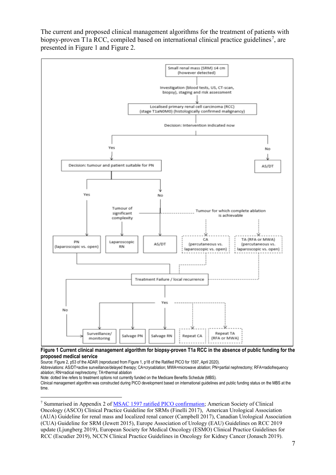The current and proposed clinical management algorithms for the treatment of patients with biopsy-proven T1a RCC, compiled based on international clinical practice guidelines<sup>[7](#page-6-1)</sup>, are presented in [Figure 1](#page-6-0) and [Figure 2.](#page-7-0)



#### <span id="page-6-0"></span>**Figure 1 Current clinical management algorithm for biopsy-proven T1a RCC in the absence of public funding for the proposed medical service**

Source: Figure 2, p53 of the ADAR (reproduced from Figure 1, p18 of the Ratified PICO for 1597, April 2020).

Abbreviations: AS/DT=active surveillance/delayed therapy; CA=cryoablation; MWA=microwave ablation; PN=partial nephrectomy; RFA=radiofrequency ablation; RN=radical nephrectomy; TA=thermal ablation

Note: dotted line refers to treatment options not currently funded on the Medicare Benefits Schedule (MBS).

Clinical management algorithm was constructed during PICO development based on international guidelines and public funding status on the MBS at the time.

<span id="page-6-1"></span> 7 Summarised in Appendix 2 of [MSAC 1597 ratified PICO confirmation;](http://www.msac.gov.au/internet/msac/publishing.nsf/Content/1597-public) American Society of Clinical Oncology (ASCO) Clinical Practice Guideline for SRMs (Finelli 2017), American Urological Association (AUA) Guideline for renal mass and localized renal cancer (Campbell 2017), Canadian Urological Association (CUA) Guideline for SRM (Jewett 2015), Europe Association of Urology (EAU) Guidelines on RCC 2019 update (Ljungberg 2019), European Society for Medical Oncology (ESMO) Clinical Practice Guidelines for RCC (Escudier 2019), NCCN Clinical Practice Guidelines in Oncology for Kidney Cancer (Jonasch 2019).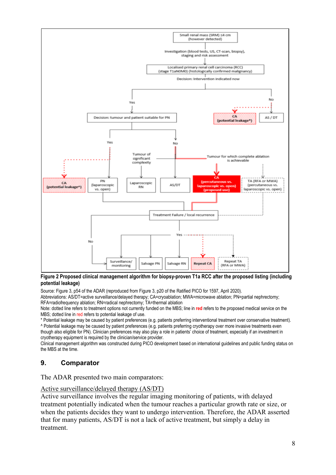

<span id="page-7-0"></span>**Figure 2 Proposed clinical management algorithm for biopsy-proven T1a RCC after the proposed listing (including potential leakage)**

Source: Figure 3, p54 of the ADAR (reproduced from Figure 3, p20 of the Ratified PICO for 1597, April 2020).

Abbreviations: AS/DT=active surveillance/delayed therapy; CA=cryoablation; MWA=microwave ablation; PN=partial nephrectomy; RFA=radiofrequency ablation; RN=radical nephrectomy; TA=thermal ablation

Note: dotted line refers to treatment options not currently funded on the MBS; line in **red** refers to the proposed medical service on the MBS; dotted line in red refers to potential leakage of use.

\* Potential leakage may be caused by patient preferences (e.g. patients preferring interventional treatment over conservative treatment). ^ Potential leakage may be caused by patient preferences (e.g. patients preferring cryotherapy over more invasive treatments even

though also eligible for PN). Clinician preferences may also play a role in patients' choice of treatment, especially if an investment in cryotherapy equipment is required by the clinician/service provider.

Clinical management algorithm was constructed during PICO development based on international guidelines and public funding status on the MBS at the time.

# **9. Comparator**

The ADAR presented two main comparators:

Active surveillance/delayed therapy (AS/DT)

Active surveillance involves the regular imaging monitoring of patients, with delayed treatment potentially indicated when the tumour reaches a particular growth rate or size, or when the patients decides they want to undergo intervention. Therefore, the ADAR asserted that for many patients, AS/DT is not a lack of active treatment, but simply a delay in treatment.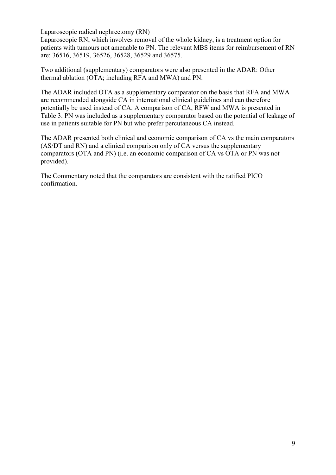Laparoscopic radical nephrectomy (RN)

Laparoscopic RN, which involves removal of the whole kidney, is a treatment option for patients with tumours not amenable to PN. The relevant MBS items for reimbursement of RN are: 36516, 36519, 36526, 36528, 36529 and 36575.

Two additional (supplementary) comparators were also presented in the ADAR: Other thermal ablation (OTA; including RFA and MWA) and PN.

The ADAR included OTA as a supplementary comparator on the basis that RFA and MWA are recommended alongside CA in international clinical guidelines and can therefore potentially be used instead of CA. A comparison of CA, RFW and MWA is presented in [Table 3.](#page-8-0) PN was included as a supplementary comparator based on the potential of leakage of use in patients suitable for PN but who prefer percutaneous CA instead.

The ADAR presented both clinical and economic comparison of CA vs the main comparators (AS/DT and RN) and a clinical comparison only of CA versus the supplementary comparators (OTA and PN) (i.e. an economic comparison of CA vs OTA or PN was not provided).

<span id="page-8-0"></span>The Commentary noted that the comparators are consistent with the ratified PICO confirmation.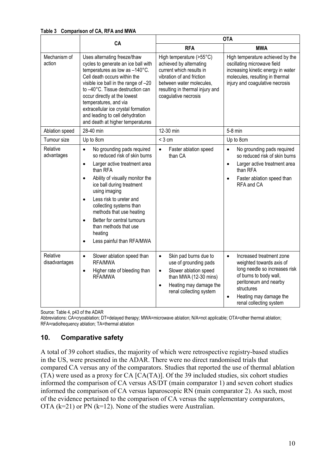**Table 3 Comparison of CA, RFA and MWA** 

|                           | CA                                                                                                                                                                                                                                                                                                                                                                                                                                                      | <b>OTA</b>                                                                                                                                                                                          |                                                                                                                                                                                                                                       |  |
|---------------------------|---------------------------------------------------------------------------------------------------------------------------------------------------------------------------------------------------------------------------------------------------------------------------------------------------------------------------------------------------------------------------------------------------------------------------------------------------------|-----------------------------------------------------------------------------------------------------------------------------------------------------------------------------------------------------|---------------------------------------------------------------------------------------------------------------------------------------------------------------------------------------------------------------------------------------|--|
|                           |                                                                                                                                                                                                                                                                                                                                                                                                                                                         | <b>RFA</b>                                                                                                                                                                                          | <b>MWA</b>                                                                                                                                                                                                                            |  |
| Mechanism of<br>action    | Uses alternating freeze/thaw<br>cycles to generate an ice ball with<br>temperatures as low as -140°C.<br>Cell death occurs within the<br>visible ice ball in the range of -20<br>to -40°C. Tissue destruction can<br>occur directly at the lowest<br>temperatures, and via<br>extracellular ice crystal formation<br>and leading to cell dehydration<br>and death at higher temperatures                                                                | High temperature (>55°C)<br>achieved by alternating<br>current which results in<br>vibration of and friction<br>between water molecules.<br>resulting in thermal injury and<br>coagulative necrosis | High temperature achieved by the<br>oscillating microwave field<br>increasing kinetic energy in water<br>molecules, resulting in thermal<br>injury and coagulative necrosis                                                           |  |
| Ablation speed            | 28-40 min                                                                                                                                                                                                                                                                                                                                                                                                                                               | 12-30 min                                                                                                                                                                                           | 5-8 min                                                                                                                                                                                                                               |  |
| Tumour size               | Up to 8cm                                                                                                                                                                                                                                                                                                                                                                                                                                               | $<$ 3 cm                                                                                                                                                                                            | Up to 8cm                                                                                                                                                                                                                             |  |
| Relative<br>advantages    | No grounding pads required<br>$\bullet$<br>so reduced risk of skin burns<br>Larger active treatment area<br>$\bullet$<br>than RFA<br>Ability of visually monitor the<br>$\bullet$<br>ice ball during treatment<br>using imaging<br>Less risk to ureter and<br>$\bullet$<br>collecting systems than<br>methods that use heating<br>Better for central tumours<br>$\bullet$<br>than methods that use<br>heating<br>Less painful than RFA/MWA<br>$\bullet$ | $\bullet$<br>Faster ablation speed<br>than CA                                                                                                                                                       | $\bullet$<br>No grounding pads required<br>so reduced risk of skin burns<br>Larger active treatment area<br>$\bullet$<br>than RFA<br>Faster ablation speed than<br>$\bullet$<br>RFA and CA                                            |  |
| Relative<br>disadvantages | Slower ablation speed than<br>$\bullet$<br>RFA/MWA<br>Higher rate of bleeding than<br>$\bullet$<br>RFA/MWA                                                                                                                                                                                                                                                                                                                                              | Skin pad burns due to<br>$\bullet$<br>use of grounding pads<br>Slower ablation speed<br>$\bullet$<br>than MWA (12-30 mins)<br>Heating may damage the<br>$\bullet$<br>renal collecting system        | Increased treatment zone<br>$\bullet$<br>weighted towards axis of<br>long needle so increases risk<br>of burns to body wall,<br>peritoneum and nearby<br>structures<br>Heating may damage the<br>$\bullet$<br>renal collecting system |  |

Source: Table 4, p43 of the ADAR

Abbreviations: CA=cryoablation; DT=delayed therapy; MWA=microwave ablation; N/A=not applicable; OTA=other thermal ablation; RFA=radiofrequency ablation; TA=thermal ablation

#### **10. Comparative safety**

A total of 39 cohort studies, the majority of which were retrospective registry-based studies in the US, were presented in the ADAR. There were no direct randomised trials that compared CA versus any of the comparators. Studies that reported the use of thermal ablation (TA) were used as a proxy for CA [CA(TA)]. Of the 39 included studies, six cohort studies informed the comparison of CA versus AS/DT (main comparator 1) and seven cohort studies informed the comparison of CA versus laparoscopic RN (main comparator 2). As such, most of the evidence pertained to the comparison of CA versus the supplementary comparators, OTA  $(k=21)$  or PN  $(k=12)$ . None of the studies were Australian.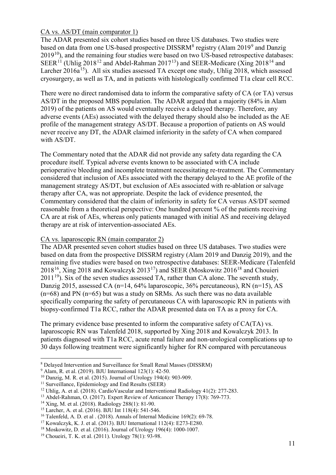#### CA vs. AS/DT (main comparator 1)

The ADAR presented six cohort studies based on three US databases. Two studies were based on data from one US-based prospective DISSRM<sup>[8](#page-10-0)</sup> registry (Alam 201[9](#page-10-1)<sup>9</sup> and Danzig  $2019<sup>10</sup>$  $2019<sup>10</sup>$  $2019<sup>10</sup>$ ), and the remaining four studies were based on two US-based retrospective databases: SEER<sup>[11](#page-10-3)</sup> (Uhlig 2018<sup>[12](#page-10-4)</sup> and Abdel-Rahman 2017<sup>[13](#page-10-5)</sup>) and SEER-Medicare (Xing 2018<sup>[14](#page-10-6)</sup> and Larcher 2016a<sup>[15](#page-10-7)</sup>). All six studies assessed TA except one study, Uhlig 2018, which assessed cryosurgery, as well as TA, and in patients with histologically confirmed T1a clear cell RCC.

There were no direct randomised data to inform the comparative safety of CA (or TA) versus AS/DT in the proposed MBS population. The ADAR argued that a majority (84% in Alam 2019) of the patients on AS would eventually receive a delayed therapy. Therefore, any adverse events (AEs) associated with the delayed therapy should also be included as the AE profile of the management strategy AS/DT. Because a proportion of patients on AS would never receive any DT, the ADAR claimed inferiority in the safety of CA when compared with AS/DT.

The Commentary noted that the ADAR did not provide any safety data regarding the CA procedure itself. Typical adverse events known to be associated with CA include perioperative bleeding and incomplete treatment necessitating re-treatment. The Commentary considered that inclusion of AEs associated with the therapy delayed to the AE profile of the management strategy AS/DT, but exclusion of AEs associated with re-ablation or salvage therapy after CA, was not appropriate. Despite the lack of evidence presented, the Commentary considered that the claim of inferiority in safety for CA versus AS/DT seemed reasonable from a theoretical perspective: One hundred percent % of the patients receiving CA are at risk of AEs, whereas only patients managed with initial AS and receiving delayed therapy are at risk of intervention-associated AEs.

#### CA vs. laparoscopic RN (main comparator 2)

The ADAR presented seven cohort studies based on three US databases. Two studies were based on data from the prospective DISSRM registry (Alam 2019 and Danzig 2019), and the remaining five studies were based on two retrospective databases: SEER-Medicare (Talenfeld  $2018^{16}$  $2018^{16}$  $2018^{16}$ , Xing 2018 and Kowalczyk 2013<sup>[17](#page-10-9)</sup>) and SEER (Moskowitz 2016<sup>[18](#page-10-10)</sup> and Chouieri  $2011^{19}$ ). Six of the seven studies assessed TA, rather than CA alone. The seventh study, Danzig 2015, assessed CA (n=14, 64% laparoscopic, 36% percutaneous), RN (n=15), AS  $(n=68)$  and PN  $(n=65)$  but was a study on SRMs. As such there was no data available specifically comparing the safety of percutaneous CA with laparoscopic RN in patients with biopsy-confirmed T1a RCC, rather the ADAR presented data on TA as a proxy for CA.

The primary evidence base presented to inform the comparative safety of CA(TA) vs. laparoscopic RN was Talenfeld 2018, supported by Xing 2018 and Kowalczyk 2013. In patients diagnosed with T1a RCC, acute renal failure and non-urological complications up to 30 days following treatment were significantly higher for RN compared with percutaneous

<sup>&</sup>lt;u>.</u> <sup>8</sup> Delayed Intervention and Surveillance for Small Renal Masses (DISSRM)

<span id="page-10-1"></span><span id="page-10-0"></span><sup>9</sup> Alam, R. et al. (2019). BJU International 123(1): 42-50.

<span id="page-10-2"></span><sup>10</sup> Danzig, M. R. et al. (2015). Journal of Urology 194(4): 903-909.

<span id="page-10-3"></span><sup>&</sup>lt;sup>11</sup> Surveillance, Epidemiology and End Results (SEER)

<span id="page-10-4"></span><sup>&</sup>lt;sup>12</sup> Uhlig, A. et al. (2018). CardioVascular and Interventional Radiology 41(2): 277-283.

<sup>13</sup> Abdel-Rahman, O. (2017). Expert Review of Anticancer Therapy 17(8): 769-773.

<span id="page-10-6"></span><span id="page-10-5"></span><sup>14</sup> Xing, M. et al. (2018). Radiology 288(1): 81-90.

<span id="page-10-7"></span><sup>15</sup> Larcher, A. et al. (2016). BJU Int 118(4): 541-546.

<span id="page-10-8"></span><sup>&</sup>lt;sup>16</sup> Talenfeld, A. D. et al . (2018). Annals of Internal Medicine 169(2): 69-78.

<span id="page-10-9"></span><sup>&</sup>lt;sup>17</sup> Kowalczyk, K. J. et al. (2013). BJU International  $112(4)$ : E273-E280.

<span id="page-10-10"></span><sup>18</sup> Moskowitz, D. et al. (2016). Journal of Urology 196(4): 1000-1007.

<span id="page-10-11"></span><sup>19</sup> Choueiri, T. K. et al. (2011). Urology 78(1): 93-98.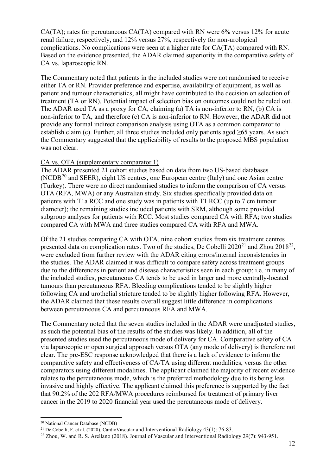CA(TA); rates for percutaneous CA(TA) compared with RN were 6% versus 12% for acute renal failure, respectively, and 12% versus 27%, respectively for non-urological complications. No complications were seen at a higher rate for CA(TA) compared with RN. Based on the evidence presented, the ADAR claimed superiority in the comparative safety of CA vs. laparoscopic RN.

The Commentary noted that patients in the included studies were not randomised to receive either TA or RN. Provider preference and expertise, availability of equipment, as well as patient and tumour characteristics, all might have contributed to the decision on selection of treatment (TA or RN). Potential impact of selection bias on outcomes could not be ruled out. The ADAR used TA as a proxy for CA, claiming (a) TA is non-inferior to RN, (b) CA is non-inferior to TA, and therefore (c) CA is non-inferior to RN. However, the ADAR did not provide any formal indirect comparison analysis using OTA as a common comparator to establish claim (c). Further, all three studies included only patients aged  $\geq 65$  years. As such the Commentary suggested that the applicability of results to the proposed MBS population was not clear.

#### CA vs. OTA (supplementary comparator 1)

The ADAR presented 21 cohort studies based on data from two US-based databases  $(NCDB<sup>20</sup>$  $(NCDB<sup>20</sup>$  $(NCDB<sup>20</sup>$  and SEER), eight US centres, one European centre (Italy) and one Asian centre (Turkey). There were no direct randomised studies to inform the comparison of CA versus OTA (RFA, MWA) or any Australian study. Six studies specifically provided data on patients with T1a RCC and one study was in patients with T1 RCC (up to 7 cm tumour diameter); the remaining studies included patients with SRM, although some provided subgroup analyses for patients with RCC. Most studies compared CA with RFA; two studies compared CA with MWA and three studies compared CA with RFA and MWA.

Of the 21 studies comparing CA with OTA, nine cohort studies from six treatment centres presented data on complication rates. Two of the studies, De Cobelli  $2020^{21}$  $2020^{21}$  $2020^{21}$  and Zhou  $2018^{22}$  $2018^{22}$  $2018^{22}$ , were excluded from further review with the ADAR citing errors/internal inconsistencies in the studies. The ADAR claimed it was difficult to compare safety across treatment groups due to the differences in patient and disease characteristics seen in each group; i.e. in many of the included studies, percutaneous CA tends to be used in larger and more centrally-located tumours than percutaneous RFA. Bleeding complications tended to be slightly higher following CA and urothelial stricture tended to be slightly higher following RFA. However, the ADAR claimed that these results overall suggest little difference in complications between percutaneous CA and percutaneous RFA and MWA.

The Commentary noted that the seven studies included in the ADAR were unadjusted studies, as such the potential bias of the results of the studies was likely. In addition, all of the presented studies used the percutaneous mode of delivery for CA. Comparative safety of CA via laparocopic or open surgical approach versus OTA (any mode of delivery) is therefore not clear. The pre-ESC response acknowledged that there is a lack of evidence to inform the comparative safety and effectiveness of CA/TA using different modalities, versus the other comparators using different modalities. The applicant claimed the majority of recent evidence relates to the percutaneous mode, which is the preferred methodology due to its being less invasive and highly effective. The applicant claimed this preference is supported by the fact that 90.2% of the 202 RFA/MWA procedures reimbursed for treatment of primary liver cancer in the 2019 to 2020 financial year used the percutaneous mode of delivery.

<sup>&</sup>lt;u>.</u> <sup>20</sup> National Cancer Database (NCDB)

<span id="page-11-1"></span><span id="page-11-0"></span><sup>&</sup>lt;sup>21</sup> De Cobelli, F. et al. (2020). Cardio Vascular and Interventional Radiology 43(1): 76-83.

<span id="page-11-2"></span><sup>22</sup> Zhou, W. and R. S. Arellano (2018). Journal of Vascular and Interventional Radiology 29(7): 943-951.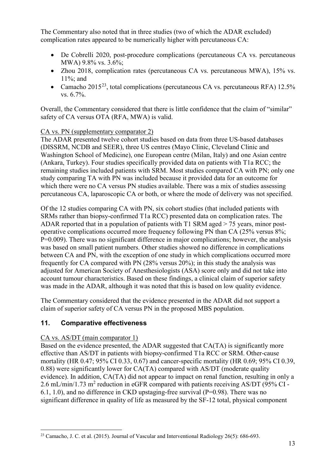The Commentary also noted that in three studies (two of which the ADAR excluded) complication rates appeared to be numerically higher with percutaneous CA:

- De Cobrelli 2020, post-procedure complications (percutaneous CA vs. percutaneous MWA) 9.8% vs. 3.6%;
- Zhou 2018, complication rates (percutaneous CA vs. percutaneous MWA), 15% vs. 11%; and
- Camacho 2015<sup>23</sup>, total complications (percutaneous CA vs. percutaneous RFA) 12.5% vs. 6.7%.

Overall, the Commentary considered that there is little confidence that the claim of "similar" safety of CA versus OTA (RFA, MWA) is valid.

#### CA vs. PN (supplementary comparator 2)

The ADAR presented twelve cohort studies based on data from three US-based databases (DISSRM, NCDB and SEER), three US centres (Mayo Clinic, Cleveland Clinic and Washington School of Medicine), one European centre (Milan, Italy) and one Asian centre (Ankara, Turkey). Four studies specifically provided data on patients with T1a RCC; the remaining studies included patients with SRM. Most studies compared CA with PN; only one study comparing TA with PN was included because it provided data for an outcome for which there were no CA versus PN studies available. There was a mix of studies assessing percutaneous CA, laparoscopic CA or both, or where the mode of delivery was not specified.

Of the 12 studies comparing CA with PN, six cohort studies (that included patients with SRMs rather than biopsy-confirmed T1a RCC) presented data on complication rates. The ADAR reported that in a population of patients with T1 SRM aged > 75 years, minor postoperative complications occurred more frequency following PN than CA (25% versus 8%; P=0.009). There was no significant difference in major complications; however, the analysis was based on small patient numbers. Other studies showed no difference in complications between CA and PN, with the exception of one study in which complications occurred more frequently for CA compared with PN (28% versus 20%); in this study the analysis was adjusted for American Society of Anesthesiologists (ASA) score only and did not take into account tumour characteristics. Based on these findings, a clinical claim of superior safety was made in the ADAR, although it was noted that this is based on low quality evidence.

The Commentary considered that the evidence presented in the ADAR did not support a claim of superior safety of CA versus PN in the proposed MBS population.

# **11. Comparative effectiveness**

#### CA vs. AS/DT (main comparator 1)

Based on the evidence presented, the ADAR suggested that CA(TA) is significantly more effective than AS/DT in patients with biopsy-confirmed T1a RCC or SRM. Other-cause mortality (HR 0.47; 95% CI 0.33, 0.67) and cancer-specific mortality (HR 0.69; 95% CI 0.39, 0.88) were significantly lower for CA(TA) compared with AS/DT (moderate quality evidence). In addition, CA(TA) did not appear to impact on renal function, resulting in only a 2.6 mL/min/1.73 m<sup>2</sup> reduction in eGFR compared with patients receiving AS/DT (95% CI -6.1, 1.0), and no difference in CKD upstaging-free survival ( $P=0.98$ ). There was no significant difference in quality of life as measured by the SF-12 total, physical component

<span id="page-12-0"></span><sup>&</sup>lt;sup>23</sup> Camacho, J. C. et al. (2015). Journal of Vascular and Interventional Radiology 26(5):  $686-693$ .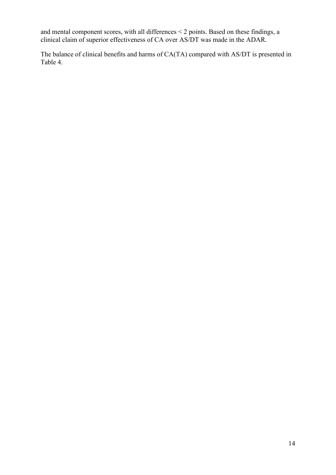and mental component scores, with all differences < 2 points. Based on these findings, a clinical claim of superior effectiveness of CA over AS/DT was made in the ADAR.

<span id="page-13-0"></span>The balance of clinical benefits and harms of CA(TA) compared with AS/DT is presented in [Table](#page-13-0) 4.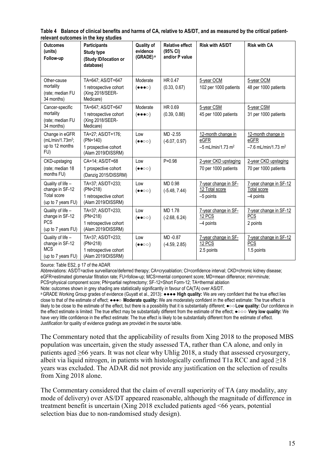| <b>Outcomes</b><br>(units)<br>Follow-up                                          | <b>Participants</b><br><b>Study type</b><br>(Study ID/location or<br>database) | <b>Quality of</b><br>evidence<br>(GRADE) <sup>a</sup> | <b>Relative effect</b><br>(95% CI)<br>and/or P value | <b>Risk with AS/DT</b>                                        | <b>Risk with CA</b>                                             |
|----------------------------------------------------------------------------------|--------------------------------------------------------------------------------|-------------------------------------------------------|------------------------------------------------------|---------------------------------------------------------------|-----------------------------------------------------------------|
| Other-cause<br>mortality<br>(rate; median FU<br>34 months)                       | TA=647; AS/DT=647<br>1 retrospective cohort<br>(Xing 2018/SEER-<br>Medicare)   | Moderate<br>$(\bullet\bullet\bullet\circ)$            | HR 0.47<br>(0.33, 0.67)                              | 5-year OCM<br>102 per 1000 patients                           | 5-year OCM<br>48 per 1000 patients                              |
| Cancer-specific<br>mortality<br>(rate; median FU<br>34 months)                   | TA=647; AS/DT=647<br>1 retrospective cohort<br>(Xing 2018/SEER-<br>Medicare)   | Moderate<br>$(\bullet\bullet\bullet\circ)$            | HR 0.69<br>(0.39, 0.88)                              | 5-year CSM<br>45 per 1000 patients                            | 5-year CSM<br>31 per 1000 patients                              |
| Change in eGFR<br>(mL/min/1.73m <sup>2</sup> ;<br>up to 12 months<br>FU)         | TA=27; AS/DT=176;<br>(PN=140)<br>1 prospective cohort<br>(Alam 2019/DISSRM)    | Low<br>$(\bullet \bullet \circ \circ)$                | MD-2.55<br>$(-6.07, 0.97)$                           | 12-month change in<br>eGFR<br>$-5$ mL/min/1.73 m <sup>2</sup> | 12-month change in<br>eGFR<br>$-7.6$ mL/min/1.73 m <sup>2</sup> |
| CKD-upstaging<br>(rate; median 18<br>months FU)                                  | CA=14: AS/DT=68<br>1 prospective cohort<br>(Danzig 2015/DISSRM)                | Low<br>$( \bullet \bullet \circ \circ )$              | $P = 0.98$                                           | 2-year CKD upstaging<br>70 per 1000 patients                  | 2-year CKD upstaging<br>70 per 1000 patients                    |
| Quality of life -<br>change in SF-12<br><b>Total score</b><br>(up to 7 years FU) | TA=37; AS/DT=233;<br>(PN=218)<br>1 retrospective cohort<br>(Alam 2019/DISSRM)  | Low<br>$(\bullet \bullet \circ \circ)$                | MD 0.98<br>$(-5.48, 7.44)$                           | 7-year change in SF-<br>12 Total score<br>$-5$ points         | 7-year change in SF-12<br><b>Total score</b><br>$-4$ points     |
| Quality of life -<br>change in SF-12<br><b>PCS</b><br>(up to 7 years FU)         | TA=37; AS/DT=233;<br>(PN=218)<br>1 retrospective cohort<br>(Alam 2019/DISSRM)  | Low<br>$(\bullet \bullet \circ \circ)$                | MD 1.78<br>$(-2.68, 6.24)$                           | 7-year change in SF-<br>12 PCS<br>$-4$ points                 | 7-year change in SF-12<br><b>PCS</b><br>2 points                |
| Quality of life -<br>change in SF-12<br><b>MCS</b><br>(up to 7 years FU)         | TA=37; AS/DT=233;<br>(PN=218)<br>1 retrospective cohort<br>(Alam 2019/DISSRM)  | Low<br>$(\bullet \bullet \circ \circ)$                | MD-0.87<br>$(-4.59, 2.85)$                           | 7-year change in SF-<br>12 PCS<br>2.5 points                  | 7-year change in SF-12<br><b>PCS</b><br>1.5 points              |

**Table 4 Balance of clinical benefits and harms of CA, relative to AS/DT, and as measured by the critical patientrelevant outcomes in the key studies** 

Source: Table ES2, p 17 of the ADAR

Abbreviations: AS/DT=active surveillance/deferred therapy; CA=cryoablation; CI=confidence interval; CKD=chronic kidney disease; eGFR=estimated glomerular filtration rate; FU=follow-up; MCS=mental component score; MD=mean difference; min=minute; PCS=physical component score; PN=partial nephrectomy; SF-12=Short Form-12; TA=thermal ablation

Note: outcomes shown in grey shading are statistically significantly in favour of CA(TA) over AS/DT.

a GRADE Working Group grades of evidence (Guyatt et al., 2013): ●●●● **High quality:** We are very confident that the true effect lies close to that of the estimate of effect; ●●●○ **Moderate quality:** We are moderately confident in the effect estimate: The true effect is likely to be close to the estimate of the effect, but there is a possibility that it is substantially different; ●○○**Low quality:** Our confidence in the effect estimate is limited: The true effect may be substantially different from the estimate of the effect; ●○○○ **Very low quality:** We have very little confidence in the effect estimate: The true effect is likely to be substantially different from the estimate of effect. Justification for quality of evidence gradings are provided in the source table.

The Commentary noted that the applicability of results from Xing 2018 to the proposed MBS population was uncertain, given the study assessed TA, rather than CA alone, and only in patients aged ≥66 years. It was not clear why Uhlig 2018, a study that assessed cryosurgery, albeit via liquid nitrogen, in patients with histologically confirmed T1a RCC and aged  $\geq$ 18 years was excluded. The ADAR did not provide any justification on the selection of results from Xing 2018 alone.

The Commentary considered that the claim of overall superiority of TA (any modality, any mode of delivery) over AS/DT appeared reasonable, although the magnitude of difference in treatment benefit is uncertain (Xing 2018 excluded patients aged <66 years, potential selection bias due to non-randomised study design).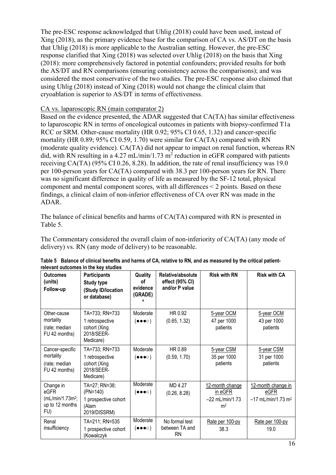The pre-ESC response acknowledged that Uhlig (2018) could have been used, instead of Xing (2018), as the primary evidence base for the comparison of CA vs. AS/DT on the basis that Uhlig (2018) is more applicable to the Australian setting. However, the pre-ESC response clarified that Xing (2018) was selected over Uhlig (2018) on the basis that Xing (2018): more comprehensively factored in potential confounders; provided results for both the AS/DT and RN comparisons (ensuring consistency across the comparisons); and was considered the most conservative of the two studies. The pre-ESC response also claimed that using Uhlig (2018) instead of Xing (2018) would not change the clinical claim that cryoablation is superior to AS/DT in terms of effectiveness.

#### CA vs. laparoscopic RN (main comparator 2)

Based on the evidence presented, the ADAR suggested that CA(TA) has similar effectiveness to laparoscopic RN in terms of oncological outcomes in patients with biopsy-confirmed T1a RCC or SRM. Other-cause mortality (HR 0.92; 95% CI 0.65, 1.32) and cancer-specific mortality (HR 0.89; 95% CI 0.59, 1.70) were similar for CA(TA) compared with RN (moderate quality evidence). CA(TA) did not appear to impact on renal function, whereas RN did, with RN resulting in a 4.27 mL/min/1.73 m<sup>2</sup> reduction in eGFR compared with patients receiving CA(TA) (95% CI 0.26, 8.28). In addition, the rate of renal insufficiency was 19.0 per 100-person years for CA(TA) compared with 38.3 per 100-person years for RN. There was no significant difference in quality of life as measured by the SF-12 total, physical component and mental component scores, with all differences < 2 points. Based on these findings, a clinical claim of non-inferior effectiveness of CA over RN was made in the ADAR.

The balance of clinical benefits and harms of CA(TA) compared with RN is presented in [Table 5.](#page-15-0)

The Commentary considered the overall claim of non-inferiority of CA(TA) (any mode of delivery) vs. RN (any mode of delivery) to be reasonable.

| <b>Outcomes</b><br>(units)<br>Follow-up                            | <b>Participants</b><br><b>Study type</b><br>(Study ID/location<br>or database) | Quality<br>οf<br>evidence<br>(GRADE)       | Relative/absolute<br>effect (95% CI)<br>and/or P value | <b>Risk with RN</b>                                               | <b>Risk with CA</b>                                            |
|--------------------------------------------------------------------|--------------------------------------------------------------------------------|--------------------------------------------|--------------------------------------------------------|-------------------------------------------------------------------|----------------------------------------------------------------|
| Other-cause<br>mortality<br>(rate; median<br>FU 42 months)         | TA=733; RN=733<br>1 retrospective<br>cohort (Xing<br>2018/SEER-<br>Medicare)   | Moderate<br>$(\bullet\bullet\bullet\circ)$ | HR 0.92<br>(0.65, 1.32)                                | 5-year OCM<br>47 per 1000<br>patients                             | 5-year OCM<br>43 per 1000<br>patients                          |
| Cancer-specific<br>mortality<br>(rate; median<br>FU 42 months)     | TA=733; RN=733<br>1 retrospective<br>cohort (Xing<br>2018/SEER-<br>Medicare)   | Moderate<br>$(\bullet\bullet\bullet\circ)$ | HR 0.89<br>(0.59, 1.70)                                | 5-year CSM<br>35 per 1000<br>patients                             | 5-year CSM<br>31 per 1000<br>patients                          |
| Change in<br>eGFR<br>$(mL/min/1.73m2)$ ;<br>up to 12 months<br>FU) | TA=27; RN=38;<br>(PN=140)<br>1 prospective cohort<br>(Alam<br>2019/DISSRM)     | Moderate<br>$(\bullet\bullet\bullet\circ)$ | MD 4.27<br>(0.26, 8.28)                                | 12-month change<br>in eGFR<br>$-22$ mL/min/1.73<br>m <sup>2</sup> | 12-month change in<br>eGFR<br>$-17$ mL/min/1.73 m <sup>2</sup> |
| Renal<br>insufficiency                                             | TA=211; RN=535<br>1 prospective cohort<br>(Kowalczyk                           | Moderate<br>$(\bullet\bullet\bullet\circ)$ | No formal test<br>between TA and<br><b>RN</b>          | Rate per 100-py<br>38.3                                           | Rate per 100-py<br>19.0                                        |

<span id="page-15-0"></span>**Table 5 Balance of clinical benefits and harms of CA, relative to RN, and as measured by the critical patientrelevant outcomes in the key studies**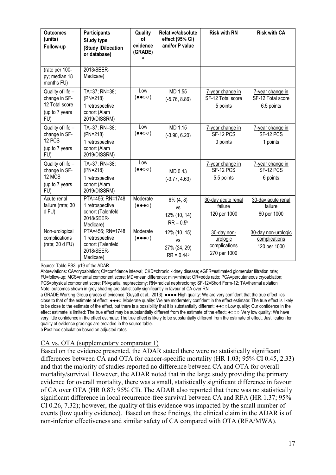| <b>Outcomes</b><br>(units)<br>Follow-up                                       | <b>Participants</b><br><b>Study type</b><br>(Study ID/location<br>or database)      | Quality<br>οf<br>evidence<br>(GRADE)<br>a  | Relative/absolute<br>effect (95% CI)<br>and/or P value    | <b>Risk with RN</b>                                      | <b>Risk with CA</b>                                  |
|-------------------------------------------------------------------------------|-------------------------------------------------------------------------------------|--------------------------------------------|-----------------------------------------------------------|----------------------------------------------------------|------------------------------------------------------|
| (rate per 100-<br>py; median 18<br>months FU)                                 | 2013/SEER-<br>Medicare)                                                             |                                            |                                                           |                                                          |                                                      |
| Quality of life -<br>change in SF-<br>12 Total score<br>(up to 7 years<br>FU) | TA=37; RN=38;<br>(PN=218)<br>1 retrospective<br>cohort (Alam<br>2019/DISSRM)        | Low<br>$(\bullet \bullet \circ \circ)$     | MD 1.55<br>$(-5.76, 8.86)$                                | 7-year change in<br>SF-12 Total score<br>5 points        | 7-year change in<br>SF-12 Total score<br>6.5 points  |
| Quality of life -<br>change in SF-<br>12 PCS<br>(up to 7 years<br>FU)         | TA=37; RN=38;<br>(PN=218)<br>1 retrospective<br>cohort (Alam<br>2019/DISSRM)        | Low<br>$(\bullet \bullet \circ \circ)$     | MD 1.15<br>$(-3.90, 6.20)$                                | 7-year change in<br>SF-12 PCS<br>0 points                | 7-year change in<br>SF-12 PCS<br>1 points            |
| Quality of life -<br>change in SF-<br>12 MCS<br>(up to 7 years<br>FU)         | TA=37; RN=38;<br>(PN=218)<br>1 retrospective<br>cohort (Alam<br>2019/DISSRM)        | Low<br>$(\bullet \bullet \circ \circ)$     | MD 0.43<br>$(-3.77, 4.63)$                                | 7-year change in<br>SF-12 PCS<br>5.5 points              | 7-year change in<br>SF-12 PCS<br>6 points            |
| Acute renal<br>failure (rate; 30<br>d FU)                                     | PTA=456; RN=1748<br>1 retrospective<br>cohort (Talenfeld<br>2018/SEER-<br>Medicare) | Moderate<br>$(\bullet\bullet\bullet\circ)$ | $6\%$ (4, 8)<br><b>VS</b><br>12% (10, 14)<br>$RR = 0.5b$  | 30-day acute renal<br>failure<br>120 per 1000            | 30-day acute renal<br>failure<br>60 per 1000         |
| Non-urological<br>complications<br>(rate; 30 d FU)                            | PTA=456; RN=1748<br>1 retrospective<br>cohort (Talenfeld<br>2018/SEER-<br>Medicare) | Moderate<br>$(\bullet\bullet\bullet\circ)$ | 12% (10, 15)<br><b>VS</b><br>27% (24, 29)<br>$RR = 0.44b$ | 30-day non-<br>urologic<br>complications<br>270 per 1000 | 30-day non-urologic<br>complications<br>120 per 1000 |

Source: Table ES3, p19 of the ADAR

Abbreviations: CA=cryoablation; CI=confidence interval; CKD=chronic kidney disease; eGFR=estimated glomerular filtration rate; FU=follow-up; MCS=mental component score; MD=mean difference; min=minute; OR=odds ratio; PCA=percutaneous cryoablation; PCS=physical component score; PN=partial nephrectomy; RN=radical nephrectomy; SF-12=Short Form-12; TA=thermal ablation Note: outcomes shown in grey shading are statistically significantly in favour of CA over RN.

a GRADE Working Group grades of evidence (Guyatt et al., 2013): ●●●● High quality: We are very confident that the true effect lies close to that of the estimate of effect;  $\bullet\bullet\bullet\circ$  Moderate quality: We are moderately confident in the effect estimate: The true effect is likely to be close to the estimate of the effect, but there is a possibility that it is substantially different; ●●○○Low quality: Our confidence in the effect estimate is limited: The true effect may be substantially different from the estimate of the effect; ●○○○ Very low quality: We have very little confidence in the effect estimate: The true effect is likely to be substantially different from the estimate of effect. Justification for quality of evidence gradings are provided in the source table.

b Post hoc calculation based on adjusted rates

#### CA vs. OTA (supplementary comparator 1)

Based on the evidence presented, the ADAR stated there were no statistically significant differences between CA and OTA for cancer-specific mortality (HR 1.03; 95% CI 0.45, 2.33) and that the majority of studies reported no difference between CA and OTA for overall mortality/survival. However, the ADAR noted that in the large study providing the primary evidence for overall mortality, there was a small, statistically significant difference in favour of CA over OTA (HR 0.87; 95% CI). The ADAR also reported that there was no statistically significant difference in local recurrence-free survival between CA and RFA (HR 1.37; 95% CI 0.26, 7.32); however, the quality of this evidence was impacted by the small number of events (low quality evidence). Based on these findings, the clinical claim in the ADAR is of non-inferior effectiveness and similar safety of CA compared with OTA (RFA/MWA).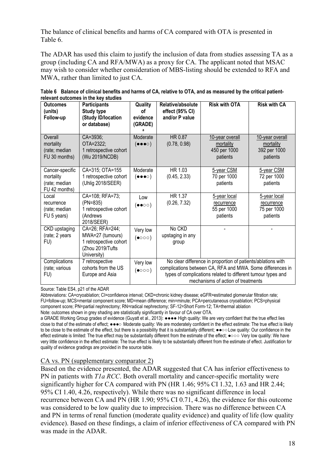The balance of clinical benefits and harms of CA compared with OTA is presented in [Table](#page-17-0) 6.

The ADAR has used this claim to justify the inclusion of data from studies assessing TA as a group (including CA and RFA/MWA) as a proxy for CA. The applicant noted that MSAC may wish to consider whether consideration of MBS-listing should be extended to RFA and MWA, rather than limited to just CA.

| <b>Outcomes</b><br>(units)<br>Follow-up                        | <b>Participants</b><br><b>Study type</b><br>(Study ID/location<br>or database)                   | Quality<br>οf<br>evidence<br>(GRADE)       | Relative/absolute<br>effect (95% CI)<br>and/or P value | <b>Risk with OTA</b>                                                                                                                                                                                                             | <b>Risk with CA</b>                                      |
|----------------------------------------------------------------|--------------------------------------------------------------------------------------------------|--------------------------------------------|--------------------------------------------------------|----------------------------------------------------------------------------------------------------------------------------------------------------------------------------------------------------------------------------------|----------------------------------------------------------|
| Overall<br>mortality<br>(rate; median<br>FU 30 months)         | CA=3936;<br>OTA=2322;<br>1 retrospective cohort<br>(Wu 2019/NCDB)                                | Moderate<br>$(\bullet\bullet\bullet\circ)$ | HR 0.87<br>(0.78, 0.98)                                | 10-year overall<br>mortality<br>450 per 1000<br>patients                                                                                                                                                                         | 10-year overall<br>mortality<br>392 per 1000<br>patients |
| Cancer-specific<br>mortality<br>(rate; median<br>FU 42 months) | CA=315; OTA=155<br>1 retrospective cohort<br>(Uhlig 2018/SEER)                                   | Moderate<br>$(\bullet\bullet\bullet\circ)$ | HR 1.03<br>(0.45, 2.33)                                | 5-year CSM<br>70 per 1000<br>patients                                                                                                                                                                                            | 5-year CSM<br>72 per 1000<br>patients                    |
| Local<br>recurrence<br>(rate; median<br>FU 5 years)            | CA=108; RFA=73;<br>(PN=835)<br>1 retrospective cohort<br>(Andrews<br>2018/SEER)                  | Low<br>$(\bullet\bullet\circ\circ)$        | HR 1.37<br>(0.26, 7.32)                                | 5-year local<br>recurrence<br>55 per 1000<br>patients                                                                                                                                                                            | 5-year local<br>recurrence<br>75 per 1000<br>patients    |
| CKD upstaging<br>(rate; 2 years<br>FU)                         | CA=26; RFA=244;<br>MWA=27 (tumours)<br>1 retrospective cohort<br>(Zhou 2019/Tufts<br>University) | Very low<br>$($ • $\circ \circ \circ)$     | No CKD<br>upstaging in any<br>group                    |                                                                                                                                                                                                                                  |                                                          |
| Complications<br>(rate; various<br>FU)                         | 7 retrospective<br>cohorts from the US<br>Europe and Asia                                        | Very low<br>$(\bullet \circ \circ \circ)$  |                                                        | No clear difference in proportion of patients/ablations with<br>complications between CA, RFA and MWA. Some differences in<br>types of complications related to different tumour types and<br>mechanisms of action of treatments |                                                          |

<span id="page-17-0"></span>**Table 6 Balance of clinical benefits and harms of CA, relative to OTA, and as measured by the critical patientrelevant outcomes in the key studies** 

Source: Table ES4, p21 of the ADAR

Abbreviations: CA=cryoablation; CI=confidence interval; CKD=chronic kidney disease; eGFR=estimated glomerular filtration rate; FU=follow-up; MCS=mental component score; MD=mean difference; min=minute; PCA=percutaneous cryoablation; PCS=physical component score; PN=partial nephrectomy; RN=radical nephrectomy; SF-12=Short Form-12; TA=thermal ablation Note: outcomes shown in grey shading are statistically significantly in favour of CA over OTA.

a GRADE Working Group grades of evidence (Guyatt et al., 2013): ●●●● High quality: We are very confident that the true effect lies close to that of the estimate of effect;  $\bullet\bullet\bullet\circ$  Moderate quality: We are moderately confident in the effect estimate: The true effect is likely to be close to the estimate of the effect, but there is a possibility that it is substantially different;  $\bullet \bullet \circ$  Low quality: Our confidence in the effect estimate is limited: The true effect may be substantially different from the estimate of the effect; ●○○○ Very low quality: We have very little confidence in the effect estimate: The true effect is likely to be substantially different from the estimate of effect. Justification for quality of evidence gradings are provided in the source table.

#### CA vs. PN (supplementary comparator 2)

Based on the evidence presented, the ADAR suggested that CA has inferior effectiveness to PN in patients with *T1a RCC*. Both overall mortality and cancer-specific mortality were significantly higher for CA compared with PN (HR 1.46; 95% CI 1.32, 1.63 and HR 2.44; 95% CI 1.40, 4.26, respectively). While there was no significant difference in local recurrence between CA and PN (HR 1.90; 95% CI 0.71, 4.26), the evidence for this outcome was considered to be low quality due to imprecision. There was no difference between CA and PN in terms of renal function (moderate quality evidence) and quality of life (low quality evidence). Based on these findings, a claim of inferior effectiveness of CA compared with PN was made in the ADAR.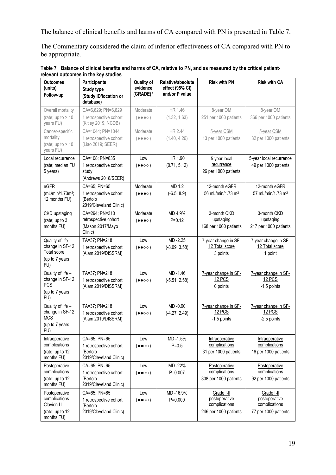The balance of clinical benefits and harms of CA compared with PN is presented in [Table 7.](#page-18-0)

The Commentary considered the claim of inferior effectiveness of CA compared with PN to be appropriate.

| <b>Outcomes</b><br>(units)<br>Follow-up                                           | <b>Participants</b><br><b>Study type</b><br>(Study ID/location or<br>database) | <b>Quality of</b><br>evidence<br>(GRADE) <sup>a</sup> | Relative/absolute<br>effect (95% CI)<br>and/or P value | <b>Risk with PN</b>                                                   | <b>Risk with CA</b>                                                  |
|-----------------------------------------------------------------------------------|--------------------------------------------------------------------------------|-------------------------------------------------------|--------------------------------------------------------|-----------------------------------------------------------------------|----------------------------------------------------------------------|
| Overall mortality<br>(rate; up to $> 10$<br>years FU)                             | CA=6,629; PN=6,629<br>1 retrospective cohort<br>(Kitley 2019; NCDB)            | Moderate<br>$( \bullet \bullet \bullet \circ )$       | HR 1.46<br>(1.32, 1.63)                                | 8-year OM<br>251 per 1000 patients                                    | 8-year OM<br>366 per 1000 patients                                   |
| Cancer-specific<br>mortality<br>(rate; up to $> 10$<br>years FU)                  | CA=1044; PN=1044<br>1 retrospective cohort<br>(Liao 2019; SEER)                | Moderate<br>$(\bullet\bullet\bullet\circ)$            | HR 2.44<br>(1.40, 4.26)                                | 5-year CSM<br>13 per 1000 patients                                    | 5-year CSM<br>32 per 1000 patients                                   |
| Local recurrence<br>(rate; median FU<br>5 years)                                  | CA=108; PN=835<br>1 retrospective cohort<br>study<br>(Andrews 2018/SEER)       | Low<br>$(\bullet \bullet \circ \circ)$                | HR 1.90<br>(0.71, 5.12)                                | 5-year local<br>recurrence<br>26 per 1000 patients                    | 5-year local recurrence<br>49 per 1000 patients                      |
| eGFR<br>(mL/min/1.73m <sup>2</sup> ;<br>12 months FU)                             | CA=65; PN=65<br>1 retrospective cohort<br>(Bertolo<br>2019/Cleveland Clinic)   | Moderate<br>$(\bullet\bullet\bullet\circ)$            | MD 1.2<br>$(-6.5, 8.9)$                                | 12-month eGFR<br>56 mL/min/1.73 m <sup>2</sup>                        | 12-month eGFR<br>57 mL/min/1.73 m <sup>2</sup>                       |
| CKD upstaging<br>(rate; up to 3<br>months FU)                                     | CA=294; PN=310<br>retrospective cohort<br>(Mason 2017/Mayo<br>Clinic)          | Moderate<br>$(\bullet\bullet\bullet\circ)$            | MD 4.9%<br>$P = 0.12$                                  | 3-month CKD<br>upstaging<br>168 per 1000 patients                     | 3-month CKD<br>upstaging<br>217 per 1000 patients                    |
| Quality of life -<br>change in SF-12<br>Total score<br>(up to 7 years<br>FU)      | TA=37; PN=218<br>1 retrospective cohort<br>(Alam 2019/DISSRM)                  | Low<br>$(\bullet \bullet \circ \circ)$                | MD-2.25<br>$(-8.09, 3.58)$                             | 7-year change in SF-<br>12 Total score<br>3 points                    | 7-year change in SF-<br>12 Total score<br>1 point                    |
| Quality of life -<br>change in SF-12<br><b>PCS</b><br>(up to 7 years<br>FU)       | TA=37; PN=218<br>1 retrospective cohort<br>(Alam 2019/DISSRM)                  | Low<br>$(\bullet \bullet \circ \circ)$                | MD-1.46<br>$(-5.51, 2.58)$                             | 7-year change in SF-<br>12 PCS<br>0 points                            | 7-year change in SF-<br>12 PCS<br>-1.5 points                        |
| Quality of life -<br>change in SF-12<br><b>MCS</b><br>(up to 7 years<br>FU)       | TA=37; PN=218<br>1 retrospective cohort<br>(Alam 2019/DISSRM)                  | Low<br>$(\bullet \bullet \circ \circ)$                | MD-0.90<br>$(-4.27, 2.49)$                             | 7-year change in SF-<br>12 PCS<br>-1.5 points                         | 7-year change in SF-<br><b>12 PCS</b><br>-2.5 points                 |
| Intraoperative<br>complications<br>(rate; up to 12<br>months FU)                  | CA=65; PN=65<br>1 retrospective cohort<br>(Bertolo<br>2019/Cleveland Clinic)   | Low<br>$( \bullet \bullet \circ \circ )$              | MD-1.5%<br>$P = 0.5$                                   | Intraoperative<br>complications<br>31 per 1000 patients               | Intraoperative<br>complications<br>16 per 1000 patients              |
| Postoperative<br>complications<br>(rate; up to 12<br>months FU)                   | CA=65; PN=65<br>1 retrospective cohort<br>(Bertolo<br>2019/Cleveland Clinic)   | Low<br>$(\bullet \bullet \circ \circ)$                | MD-22%<br>$P = 0.007$                                  | Postoperative<br>complications<br>308 per 1000 patients               | Postoperative<br>complications<br>92 per 1000 patients               |
| Postoperative<br>complications -<br>Clavien I-II<br>(rate; up to 12<br>months FU) | CA=65; PN=65<br>1 retrospective cohort<br>(Bertolo<br>2019/Cleveland Clinic)   | Low<br>$(\bullet\bullet\circ\circ)$                   | MD-16.9%<br>$P = 0.009$                                | Grade I-II<br>postoperative<br>complications<br>246 per 1000 patients | Grade I-II<br>postoperative<br>complications<br>77 per 1000 patients |

<span id="page-18-0"></span>**Table 7 Balance of clinical benefits and harms of CA, relative to PN, and as measured by the critical patientrelevant outcomes in the key studies**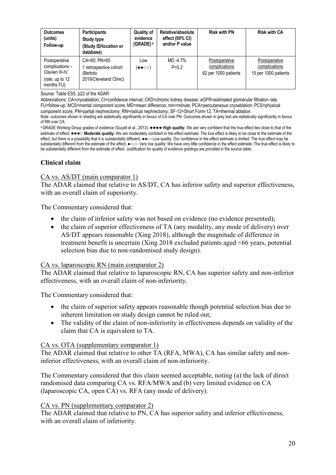| <b>Outcomes</b><br>(units)<br>Follow-up                                             | <b>Participants</b><br>Study type<br>(Study ID/location or<br>database)    | <b>Quality of</b><br>evidence<br>(GRADE) <sup>a</sup> | Relative/absolute<br>effect (95% CI)<br>and/or P value | <b>Risk with PN</b>                                    | <b>Risk with CA</b>                                    |
|-------------------------------------------------------------------------------------|----------------------------------------------------------------------------|-------------------------------------------------------|--------------------------------------------------------|--------------------------------------------------------|--------------------------------------------------------|
| Postoperative<br>complications -<br>Clavien III-IV<br>(rate; up to 12<br>months FU) | CA=65: PN=65<br>retrospective cohort<br>'Bertolo<br>2019/Cleveland Clinic) | Low<br>(●●○○)                                         | MD-4.7%<br>$P = 0.2$                                   | Postoperative<br>complications<br>62 per 1000 patients | Postoperative<br>complications<br>15 per 1000 patients |

Source: Table ES5, p22 of the ADAR

Abbreviations: CA=cryoablation; CI=confidence interval; CKD=chronic kidney disease; eGFR=estimated glomerular filtration rate; FU=follow-up; MCS=mental component score; MD=mean difference; min=minute; PCA=percutaneous cryoablation; PCS=physical component score; PN=partial nephrectomy; RN=radical nephrectomy; SF-12=Short Form-12; TA=thermal ablation Note: outcomes shown in shading are statistically significantly in favour of CA over PN. Outcomes shown in grey text are statistically significantly in favour of RN over CA.

a GRADE Working Group grades of evidence (Guyatt et al., 2013): ●●●● **High quality:** We are very confident that the true effect lies close to that of the estimate of effect:  $\bullet\bullet\bullet$  **Moderate quality:** We are moderately confident in the effect estimate: The true effect is likely to be close to the estimate of the effect, but there is a possibility that it is substantially different;  $\bullet \circ \circ$  Low quality: Our confidence in the effect estimate is limited: The true effect may be substantially different from the estimate of the effect;  $\bullet \circ \circ$  Very low quality: We have very little confidence in the effect estimate: The true effect is likely to be substantially different from the estimate of effect. Justification for quality of evidence gradings are provided in the source table.

### **Clinical claim**

#### CA vs. AS/DT (main comparator 1)

The ADAR claimed that relative to AS/DT, CA has inferior safety and superior effectiveness, with an overall claim of superiority.

The Commentary considered that:

- the claim of inferior safety was not based on evidence (no evidence presented);
- the claim of superior effectiveness of TA (any modality, any mode of delivery) over AS/DT appears reasonable (Xing 2018), although the magnitude of difference in treatment benefit is uncertain (Xing 2018 excluded patients aged <66 years, potential selection bias due to non-randomised study design).

#### CA vs. laparoscopic RN (main comparator 2)

The ADAR claimed that relative to laparoscopic RN, CA has superior safety and non-inferior effectiveness, with an overall claim of non-inferiority.

The Commentary considered that:

- the claim of superior safety appears reasonable though potential selection bias due to inherent limitation on study design cannot be ruled out;
- The validity of the claim of non-inferiority in effectiveness depends on validity of the claim that CA is equivalent to TA.

#### CA vs. OTA (supplementary comparator 1)

The ADAR claimed that relative to other TA (RFA, MWA), CA has similar safety and noninferior effectiveness, with an overall claim of non-inferiority.

The Commentary considered that this claim seemed acceptable, noting (a) the lack of direct randomised data comparing CA vs. RFA/MWA and (b) very limited evidence on CA (laparoscopic CA, open CA) vs. RFA (any mode of delivery).

#### CA vs. PN (supplementary comparator 2)

The ADAR claimed that relative to PN, CA has superior safety and inferior effectiveness, with an overall claim of inferiority.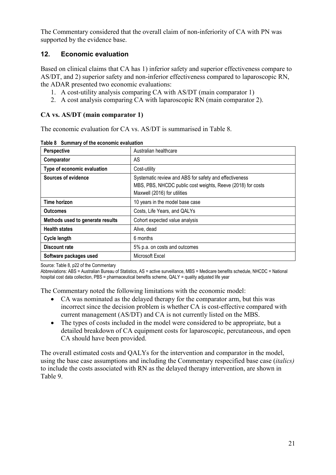The Commentary considered that the overall claim of non-inferiority of CA with PN was supported by the evidence base.

# **12. Economic evaluation**

Based on clinical claims that CA has 1) inferior safety and superior effectiveness compare to AS/DT, and 2) superior safety and non-inferior effectiveness compared to laparoscopic RN, the ADAR presented two economic evaluations:

- 1. A cost-utility analysis comparing CA with AS/DT (main comparator 1)
- 2. A cost analysis comparing CA with laparoscopic RN (main comparator 2).

# **CA vs. AS/DT (main comparator 1)**

The economic evaluation for CA vs. AS/DT is summarised in [Table](#page-20-0) 8.

| Perspective                      | Australian healthcare                                                                                                                                 |
|----------------------------------|-------------------------------------------------------------------------------------------------------------------------------------------------------|
| Comparator                       | AS                                                                                                                                                    |
| Type of economic evaluation      | Cost-utility                                                                                                                                          |
| Sources of evidence              | Systematic review and ABS for safety and effectiveness<br>MBS, PBS, NHCDC public cost weights, Reeve (2018) for costs<br>Maxwell (2016) for utilities |
| <b>Time horizon</b>              | 10 years in the model base case                                                                                                                       |
| <b>Outcomes</b>                  | Costs, Life Years, and QALYs                                                                                                                          |
| Methods used to generate results | Cohort expected value analysis                                                                                                                        |
| <b>Health states</b>             | Alive, dead                                                                                                                                           |
| <b>Cycle length</b>              | 6 months                                                                                                                                              |
| Discount rate                    | 5% p.a. on costs and outcomes                                                                                                                         |
| Software packages used           | Microsoft Excel                                                                                                                                       |

<span id="page-20-0"></span>**Table 8 Summary of the economic evaluation** 

Source: Table 8, p22 of the Commentary

Abbreviations: ABS = Australian Bureau of Statistics, AS = active surveillance, MBS = Medicare benefits schedule, NHCDC = National hospital cost data collection, PBS = pharmaceutical benefits scheme, QALY = quality adjusted life year

The Commentary noted the following limitations with the economic model:

- CA was nominated as the delayed therapy for the comparator arm, but this was incorrect since the decision problem is whether CA is cost-effective compared with current management (AS/DT) and CA is not currently listed on the MBS.
- The types of costs included in the model were considered to be appropriate, but a detailed breakdown of CA equipment costs for laparoscopic, percutaneous, and open CA should have been provided.

<span id="page-20-1"></span>The overall estimated costs and QALYs for the intervention and comparator in the model, using the base case assumptions and including the Commentary respecified base case (*italics)*  to include the costs associated with RN as the delayed therapy intervention, are shown in [Table 9.](#page-20-1)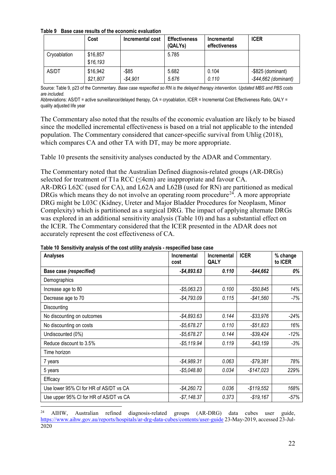**Table 9 Base case results of the economic evaluation**

|              | Cost                 | Incremental cost   | <b>Effectiveness</b><br>(QALYs) | Incremental<br>effectiveness | <b>ICER</b>                                     |
|--------------|----------------------|--------------------|---------------------------------|------------------------------|-------------------------------------------------|
| Cryoablation | \$16,857<br>\$16,193 |                    | 5.785                           |                              |                                                 |
| AS/DT        | \$16,942<br>\$21,807 | -\$85<br>$-$4.901$ | 5.682<br>5.676                  | 0.104<br>0.110               | $-$ \$825 (dominant)<br>$-$ \$44,662 (dominant) |

Source: Table 9, p23 of the Commentary. *Base case respecified so RN is the delayed therapy intervention. Updated MBS and PBS costs are included.*

Abbreviations: AS/DT = active surveillance/delayed therapy, CA = cryoablation, ICER = Incremental Cost Effectiveness Ratio, QALY = quality adjusted life year

The Commentary also noted that the results of the economic evaluation are likely to be biased since the modelled incremental effectiveness is based on a trial not applicable to the intended population. The Commentary considered that cancer-specific survival from Uhlig (2018), which compares CA and other TA with DT, may be more appropriate.

[Table](#page-21-0) 10 presents the sensitivity analyses conducted by the ADAR and Commentary.

The Commentary noted that the Australian Defined diagnosis-related groups (AR-DRGs) selected for treatment of T1a RCC (≤4cm) are inappropriate and favour CA.

AR-DRG L62C (used for CA), and L62A and L62B (used for RN) are partitioned as medical DRGs which means they do not involve an operating room procedure<sup>[24](#page-21-1)</sup>. A more appropriate DRG might be L03C (Kidney, Ureter and Major Bladder Procedures for Neoplasm, Minor Complexity) which is partitioned as a surgical DRG. The impact of applying alternate DRGs was explored in an additional sensitivity analysis [\(Table](#page-21-0) 10) and has a substantial effect on the ICER. The Commentary considered that the ICER presented in the ADAR does not accurately represent the cost effectiveness of CA.

| on to concurring analysis of the soot atimy analysis<br><b>Analyses</b> | Incremental<br>cost | Incremental<br>QALY | <b>ICER</b>  | % change<br>to ICER |
|-------------------------------------------------------------------------|---------------------|---------------------|--------------|---------------------|
| Base case (respecified)                                                 | $-$4,893.63$        | 0.110               | $-$44,662$   | 0%                  |
| Demographics                                                            |                     |                     |              |                     |
| Increase age to 80                                                      | $-$ \$5,063.23      | 0.100               | $-$50,845$   | 14%                 |
| Decrease age to 70                                                      | $-$4,793.09$        | 0.115               | $-$41,560$   | -7%                 |
| Discounting                                                             |                     |                     |              |                     |
| No discounting on outcomes                                              | $-$ \$4,893.63      | 0.144               | $-$ \$33,976 | $-24%$              |
| No discounting on costs                                                 | $-$ \$5,678.27      | 0.110               | $-$ \$51,823 | 16%                 |
| Undiscounted (0%)                                                       | $-$ \$5,678.27      | 0.144               | $- $39,424$  | $-12%$              |
| Reduce discount to 3.5%                                                 | $-$ \$5,119.94      | 0.119               | $-$43,159$   | $-3%$               |
| Time horizon                                                            |                     |                     |              |                     |
| 7 years                                                                 | $-$4,989.31$        | 0.063               | $-$79,381$   | 78%                 |
| 5 years                                                                 | $-$ \$5,048.80      | 0.034               | $-$147,023$  | 229%                |
| Efficacy                                                                |                     |                     |              |                     |
| Use lower 95% CI for HR of AS/DT vs CA                                  | $-$ \$4,260.72      | 0.036               | $-$119,552$  | 168%                |
| Use upper 95% CI for HR of AS/DT vs CA                                  | $-$ \$7,148.37      | 0.373               | $-$19,167$   | $-57%$              |

<span id="page-21-0"></span>**Table 10 Sensitivity analysis of the cost utility analysis - respecified base case**

<span id="page-21-1"></span><sup>24</sup> <sup>24</sup> AIHW, Australian refined diagnosis-related groups (AR-DRG) data cubes user guide, <https://www.aihw.gov.au/reports/hospitals/ar-drg-data-cubes/contents/user-guide> 23-May-2019, accessed 23-Jul-2020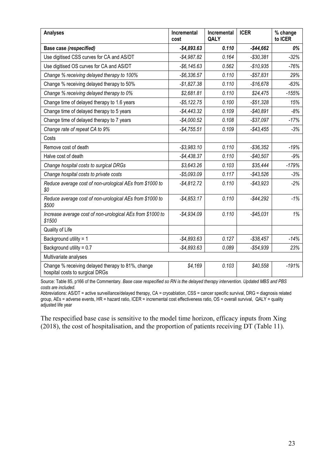| <b>Analyses</b>                                                                      | Incremental<br>cost | <b>Incremental</b><br>QALY | <b>ICER</b>  | % change<br>to ICER |
|--------------------------------------------------------------------------------------|---------------------|----------------------------|--------------|---------------------|
| <b>Base case (respecified)</b>                                                       | $-$4,893.63$        | 0.110                      | $-$44,662$   | 0%                  |
| Use digitised CSS curves for CA and AS/DT                                            | $-$ \$4,987.82      | 0.164                      | $-$30,381$   | $-32%$              |
| Use digitised OS curves for CA and AS/DT                                             | $-$ \$6,145.63      | 0.562                      | $-$10,935$   | $-76%$              |
| Change % receiving delayed therapy to 100%                                           | $-$ \$6,336.57      | 0.110                      | $-$ \$57,831 | 29%                 |
| Change % receiving delayed therapy to 50%                                            | $-$1,827.38$        | 0.110                      | $-$16,678$   | $-63%$              |
| Change % receiving delayed therapy to 0%                                             | \$2,681.81          | 0.110                      | \$24,475     | $-155%$             |
| Change time of delayed therapy to 1.6 years                                          | $-$ \$5,122.75      | 0.100                      | $- $51,328$  | 15%                 |
| Change time of delayed therapy to 5 years                                            | $-$ \$4,443.32      | 0.109                      | $-$40,891$   | $-8%$               |
| Change time of delayed therapy to 7 years                                            | $-$4,000.52$        | 0.108                      | $-$ \$37,097 | $-17%$              |
| Change rate of repeat CA to 9%                                                       | $-$4,755.51$        | 0.109                      | $-$43,455$   | $-3%$               |
| Costs                                                                                |                     |                            |              |                     |
| Remove cost of death                                                                 | $-$ \$3,983.10      | 0.110                      | $- $36,352$  | $-19%$              |
| Halve cost of death                                                                  | $-$4,438.37$        | 0.110                      | $-$40,507$   | $-9%$               |
| Change hospital costs to surgical DRGs                                               | \$3,643.26          | 0.103                      | \$35,444     | $-179%$             |
| Change hospital costs to private costs                                               | $-$5,093.09$        | 0.117                      | $-$43,526$   | $-3%$               |
| Reduce average cost of non-urological AEs from \$1000 to<br>\$0                      | $-$4,812.72$        | 0.110                      | $-$43,923$   | $-2%$               |
| Reduce average cost of non-urological AEs from \$1000 to<br>\$500                    | $-$4,853.17$        | 0.110                      | $-$44,292$   | $-1%$               |
| Increase average cost of non-urological AEs from \$1000 to<br>\$1500                 | $-$4,934.09$        | 0.110                      | $-$45,031$   | 1%                  |
| Quality of Life                                                                      |                     |                            |              |                     |
| Background utility = 1                                                               | $-$4,893.63$        | 0.127                      | $- $38,457$  | $-14%$              |
| Background utility = 0.7                                                             | $-$4,893.63$        | 0.089                      | $-$54,939$   | 23%                 |
| Multivariate analyses                                                                |                     |                            |              |                     |
| Change % receiving delayed therapy to 81%, change<br>hospital costs to surgical DRGs | \$4,169             | 0.103                      | \$40,558     | $-191%$             |

Source: Table 85, p166 of the Commentary*. Base case respecified so RN is the delayed therapy intervention. Updated MBS and PBS costs are included.* 

Abbreviations: AS/DT = active surveillance/delayed therapy, CA = cryoablation, CSS = cancer specific survival, DRG = diagnosis related group, AEs = adverse events, HR = hazard ratio, ICER = incremental cost effectiveness ratio, OS = overall survival, QALY = quality adjusted life year

The respecified base case is sensitive to the model time horizon, efficacy inputs from Xing (2018), the cost of hospitalisation, and the proportion of patients receiving DT ([Table 11\)](#page-23-0).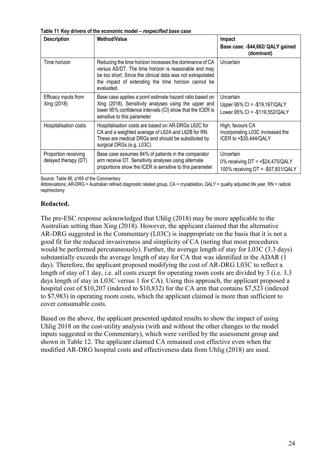<span id="page-23-0"></span>**Table 11 Key drivers of the economic model –** *respecified base case*

| <b>Description</b>                           | <b>Method/Value</b>                                                                                                                                                                                                                               | Impact<br>Base case: - \$44,662/ QALY gained<br>(dominant)                           |
|----------------------------------------------|---------------------------------------------------------------------------------------------------------------------------------------------------------------------------------------------------------------------------------------------------|--------------------------------------------------------------------------------------|
| Time horizon                                 | Reducing the time horizon increases the dominance of CA<br>versus AS/DT. The time horizon is reasonable and may<br>be too short. Since the clinical data was not extrapolated<br>the impact of extending the time horizon cannot be<br>evaluated. | Uncertain                                                                            |
| Efficacy inputs from<br>Xing (2018)          | Base case applies a point estimate hazard ratio based on<br>Xing (2018). Sensitivity analyses using the upper and<br>lower 95% confidence intervals (CI) show that the ICER is<br>sensitive to this parameter                                     | Uncertain<br>Upper 95% CI = -\$19,167/QALY<br>Lower 95% CI = -\$119,552/QALY         |
| Hospitalisation costs                        | Hospitalisation costs are based on AR-DRGs L62C for<br>CA and a weighted average of L62A and L62B for RN.<br>These are medical DRGs and should be substituted by<br>surgical DRGs (e.g. L03C)                                                     | High, favours CA<br>Incorporating L03C increased the<br>ICER to +\$35,444/QALY       |
| Proportion receiving<br>delayed therapy (DT) | Base case assumes 84% of patients in the comparator<br>arm receive DT. Sensitivity analyses using alternate<br>proportions show the ICER is sensitive to this parameter                                                                           | Uncertain<br>0% receiving $DT = +$24,475/QALY$<br>100% receiving DT = -\$57,831/QALY |

Source: Table 86, p169 of the Commentary

Abbreviations: AR-DRG = Australian refined diagnostic related group, CA = cryoablation, QALY = quality adjusted life year, RN = radical nephrectomy

#### **Redacted.**

The pre-ESC response acknowledged that Uhlig (2018) may be more applicable to the Australian setting than Xing (2018). However, the applicant claimed that the alternative AR-DRG suggested in the Commentary (L03C) is inappropriate on the basis that it is not a good fit for the reduced invasiveness and simplicity of CA (noting that most procedures would be performed percutaneously). Further, the average length of stay for L03C (3.3 days) substantially exceeds the average length of stay for CA that was identified in the ADAR (1 day). Therefore, the applicant proposed modifying the cost of AR-DRG L03C to reflect a length of stay of 1 day, i.e. all costs except for operating room costs are divided by 3 (i.e. 3.3) days length of stay in L03C versus 1 for CA). Using this approach, the applicant proposed a hospital cost of \$10,207 (indexed to \$10,832) for the CA arm that contains \$7,523 (indexed to \$7,983) in operating room costs, which the applicant claimed is more than sufficient to cover consumable costs.

<span id="page-23-1"></span>Based on the above, the applicant presented updated results to show the impact of using Uhlig 2018 on the cost-utility analysis (with and without the other changes to the model inputs suggested in the Commentary), which were verified by the assessment group and shown in [Table 12.](#page-23-1) The applicant claimed CA remained cost effective even when the modified AR-DRG hospital costs and effectiveness data from Uhlig (2018) are used.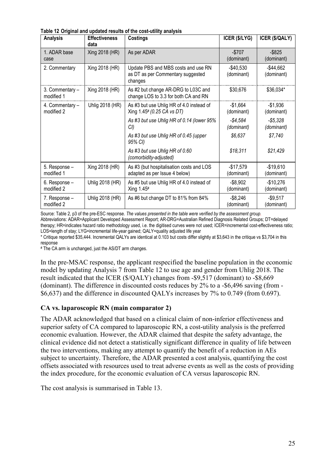| <b>Analysis</b>               | <b>Effectiveness</b><br>data | <b>Costings</b>                                                                     | ICER (\$/LYG)             | <b>ICER (\$/QALY)</b>      |
|-------------------------------|------------------------------|-------------------------------------------------------------------------------------|---------------------------|----------------------------|
| 1. ADAR base<br>case          | Xing 2018 (HR)               | As per ADAR                                                                         | $-$707$<br>(dominant)     | $-$ \$825<br>(dominant)    |
| 2. Commentary                 | Xing 2018 (HR)               | Update PBS and MBS costs and use RN<br>as DT as per Commentary suggested<br>changes | $-$40,530$<br>(dominant)  | $-$ \$44,662<br>(dominant) |
| 3. Commentary -<br>modified 1 | Xing 2018 (HR)               | As #2 but change AR-DRG to L03C and<br>change LOS to 3.3 for both CA and RN         | \$30,676                  | \$36,034*                  |
| 4. Commentary -<br>modified 2 | Uhlig 2018 (HR)              | As #3 but use Uhlig HR of 4.0 instead of<br>Xing 1.45# (0.25 CA vs DT)              | $-$1,664$<br>(dominant)   | $-$1,936$<br>(dominant)    |
|                               |                              | As #3 but use Uhlig HR of 0.14 (lower 95%<br>CI                                     | $-$4,584$<br>(dominant)   | $-$5,328$<br>(dominant)    |
|                               |                              | As #3 but use Uhlig HR of 0.45 (upper<br>95% CI)                                    | \$6,637                   | \$7,740                    |
|                               |                              | As #3 but use Uhlig HR of 0.60<br>(comorbidity-adjusted)                            | \$18,311                  | \$21,429                   |
| 5. Response -<br>modified 1   | Xing 2018 (HR)               | As #3 (but hospitalisation costs and LOS<br>adapted as per Issue 4 below)           | $-$17,579$<br>(dominant)  | $-$19,610$<br>(dominant)   |
| 6. Response -<br>modified 2   | Uhlig 2018 (HR)              | As #5 but use Uhlig HR of 4.0 instead of<br>Xing $1.45$ <sup>#</sup>                | $-$8,902$<br>(dominant)   | $-$10,276$<br>(dominant)   |
| 7. Response -<br>modified 2   | Uhlig 2018 (HR)              | As #6 but change DT to 81% from 84%                                                 | $-$ \$8,246<br>(dominant) | $-$ \$9,517<br>(dominant)  |

**Table 12 Original and updated results of the cost-utility analysis**

Source: Table 2, p3 of the pre-ESC response. *The values presented in the table were verified by the assessment group.* Abbreviations: ADAR=Applicant Developed Assessment Report; AR-DRG=Australian Refined Diagnosis Related Groups; DT=delayed therapy; HR=indicates hazard ratio methodology used, i.e. the digitised curves were not used; ICER=incremental cost-effectiveness ratio; LOS=length of stay; LYG=incremental life-year gained; QALY=quality adjusted life year

\* Critique reported \$35,444. Incremental QALYs are identical at 0.103 but costs differ slightly at \$3,643 in the critique vs \$3,704 in this response

# The CA arm is unchanged, just the AS/DT arm changes.

In the pre-MSAC response, the applicant respecified the baseline population in the economic model by updating Analysis 7 from Table 12 to use age and gender from Uhlig 2018. The result indicated that the ICER (\$/QALY) changes from -\$9,517 (dominant) to -\$8,669 (dominant). The difference in discounted costs reduces by 2% to a -\$6,496 saving (from - \$6,637) and the difference in discounted QALYs increases by 7% to 0.749 (from 0.697).

#### **CA vs. laparoscopic RN (main comparator 2)**

The ADAR acknowledged that based on a clinical claim of non-inferior effectiveness and superior safety of CA compared to laparoscopic RN, a cost-utility analysis is the preferred economic evaluation. However, the ADAR claimed that despite the safety advantage, the clinical evidence did not detect a statistically significant difference in quality of life between the two interventions, making any attempt to quantify the benefit of a reduction in AEs subject to uncertainty. Therefore, the ADAR presented a cost analysis, quantifying the cost offsets associated with resources used to treat adverse events as well as the costs of providing the index procedure, for the economic evaluation of CA versus laparoscopic RN.

The cost analysis is summarised in [Table 13.](#page-25-0)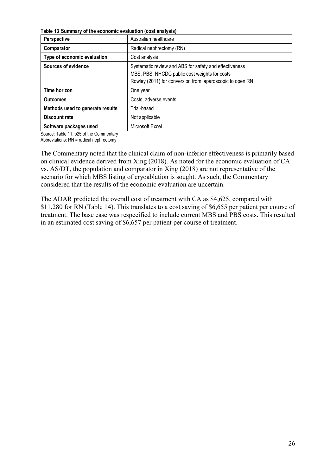<span id="page-25-0"></span>**Table 13 Summary of the economic evaluation (cost analysis)** 

| <b>Perspective</b>               | Australian healthcare                                     |
|----------------------------------|-----------------------------------------------------------|
| Comparator                       | Radical nephrectomy (RN)                                  |
| Type of economic evaluation      | Cost analysis                                             |
| Sources of evidence              | Systematic review and ABS for safety and effectiveness    |
|                                  | MBS, PBS, NHCDC public cost weights for costs             |
|                                  | Rowley (2011) for conversion from laparoscopic to open RN |
| Time horizon                     | One year                                                  |
| <b>Outcomes</b>                  | Costs, adverse events                                     |
| Methods used to generate results | Trial-based                                               |
| Discount rate                    | Not applicable                                            |
| Software packages used           | Microsoft Excel                                           |

Source: Table 11, p25 of the Commentary

Abbreviations:  $RN =$  radical nephrectomy

The Commentary noted that the clinical claim of non-inferior effectiveness is primarily based on clinical evidence derived from Xing (2018). As noted for the economic evaluation of CA vs. AS/DT, the population and comparator in Xing (2018) are not representative of the scenario for which MBS listing of cryoablation is sought. As such, the Commentary considered that the results of the economic evaluation are uncertain.

The ADAR predicted the overall cost of treatment with CA as \$4,625, compared with \$11,280 for RN ([Table](#page-26-0) 14). This translates to a cost saving of \$6,655 per patient per course of treatment. The base case was respecified to include current MBS and PBS costs. This resulted in an estimated cost saving of \$6,657 per patient per course of treatment.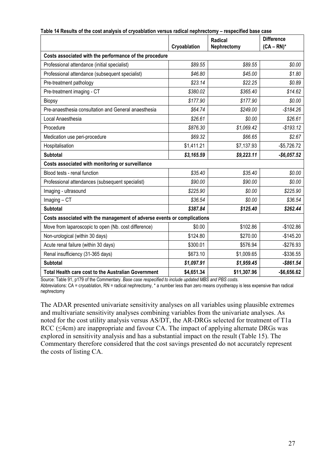|                                                                         |              | <b>Radical</b> |               |  |
|-------------------------------------------------------------------------|--------------|----------------|---------------|--|
|                                                                         | Cryoablation | Nephrectomy    | $(CA - RN)^*$ |  |
| Costs associated with the performance of the procedure                  |              |                |               |  |
| Professional attendance (initial specialist)                            | \$89.55      | \$89.55        | \$0.00        |  |
| Professional attendance (subsequent specialist)                         | \$46.80      | \$45.00        | \$1.80        |  |
| Pre-treatment pathology                                                 | \$23.14      | \$22.25        | \$0.89        |  |
| Pre-treatment imaging - CT                                              | \$380.02     | \$365.40       | \$14.62       |  |
| Biopsy                                                                  | \$177.90     | \$177.90       | \$0.00        |  |
| Pre-anaesthesia consultation and General anaesthesia                    | \$64.74      | \$249.00       | $-$184.26$    |  |
| Local Anaesthesia                                                       | \$26.61      | \$0.00         | \$26.61       |  |
| Procedure                                                               | \$876.30     | \$1,069.42     | $-$193.12$    |  |
| Medication use peri-procedure                                           | \$69.32      | \$66.65        | \$2.67        |  |
| Hospitalisation                                                         | \$1,411.21   | \$7,137.93     | $-$5,726.72$  |  |
| <b>Subtotal</b>                                                         | \$3,165.59   | \$9,223.11     | $-$6,057.52$  |  |
| Costs associated with monitoring or surveillance                        |              |                |               |  |
| Blood tests - renal function                                            | \$35.40      | \$35.40        | \$0.00        |  |
| Professional attendances (subsequent specialist)                        | \$90.00      | \$90.00        | \$0.00        |  |
| Imaging - ultrasound                                                    | \$225.90     | \$0.00         | \$225.90      |  |
| $Imaging - CT$                                                          | \$36.54      | \$0.00         | \$36.54       |  |
| <b>Subtotal</b>                                                         | \$387.84     | \$125.40       | \$262.44      |  |
| Costs associated with the management of adverse events or complications |              |                |               |  |
| Move from laparoscopic to open (Nb. cost difference)                    | \$0.00       | \$102.86       | $-$102.86$    |  |
| Non-urological (within 30 days)                                         | \$124.80     | \$270.00       | $-$145.20$    |  |
| Acute renal failure (within 30 days)                                    | \$300.01     | \$576.94       | $-$276.93$    |  |
| Renal insufficiency (31-365 days)                                       | \$673.10     | \$1,009.65     | $-$336.55$    |  |
| <b>Subtotal</b>                                                         | \$1,097.91   | \$1,959.45     | $-$ \$861.54  |  |
| <b>Total Health care cost to the Australian Government</b>              | \$4,651.34   | \$11,307.96    | $-$6,656.62$  |  |

<span id="page-26-0"></span>

| Table 14 Results of the cost analysis of cryoablation versus radical nephrectomy – respecified base case |  |  |
|----------------------------------------------------------------------------------------------------------|--|--|
|                                                                                                          |  |  |

Source: Table 91, p179 of the Commentary. *Base case respecified to include updated MBS and PBS costs.*

Abbreviations: CA = cryoablation, RN = radical nephrectomy, \* a number less than zero means cryotherapy is less expensive than radical nephrectomy

<span id="page-26-1"></span>The ADAR presented univariate sensitivity analyses on all variables using plausible extremes and multivariate sensitivity analyses combining variables from the univariate analyses. As noted for the cost utility analysis versus AS/DT, the AR-DRGs selected for treatment of T1a RCC (≤4cm) are inappropriate and favour CA. The impact of applying alternate DRGs was explored in sensitivity analysis and has a substantial impact on the result [\(Table 15\)](#page-26-1). The Commentary therefore considered that the cost savings presented do not accurately represent the costs of listing CA.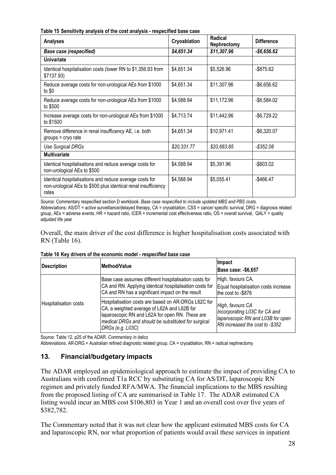**Table 15 Sensitivity analysis of the cost analysis - respecified base case**

| <b>Analyses</b>                                                                                                                    | Cryoablation | Radical<br><b>Nephrectomy</b> | <b>Difference</b> |
|------------------------------------------------------------------------------------------------------------------------------------|--------------|-------------------------------|-------------------|
| <b>Base case (respecified)</b>                                                                                                     | \$4,651.34   | \$11,307.96                   | $-$6,656.62$      |
| <b>Univariate</b>                                                                                                                  |              |                               |                   |
| Identical hospitalisation costs (lower RN to \$1,356.93 from<br>\$7137.93)                                                         | \$4,651.34   | \$5,526.96                    | $-$875.62$        |
| Reduce average costs for non-urological AEs from \$1000<br>to $$0$                                                                 | \$4,651.34   | \$11,307.96                   | $-$6,656.62$      |
| Reduce average costs for non-urological AEs from \$1000<br>to \$500                                                                | \$4,588.94   | \$11,172.96                   | $-$6,584.02$      |
| Increase average costs for non-urological AEs from \$1000<br>to \$1500                                                             | \$4,713.74   | \$11,442.96                   | $-$6,729.22$      |
| Remove difference in renal insufficency AE, i.e. both<br>$groups = cryo rate$                                                      | \$4,651.34   | \$10,971.41                   | $-$6,320.07$      |
| Use Surgical DRGs                                                                                                                  | \$20,331.77  | \$20,683.85                   | $-$ \$352.08      |
| <b>Multivariate</b>                                                                                                                |              |                               |                   |
| Identical hospitalisations and reduce average costs for<br>non-urological AEs to \$500                                             | \$4,588.94   | \$5,391.96                    | $-$ \$803.02      |
| Identical hospitalisations and reduce average costs for<br>non-urological AEs to \$500 plus identical renal insufficiency<br>rates | \$4,588.94   | \$5,055.41                    | $-$ \$466.47      |

Source: Commentary respecified section D workbook*. Base case respecified to include updated MBS and PBS costs.*  Abbreviations: AS/DT = active surveillance/delayed therapy, CA = cryoablation, CSS = cancer specific survival, DRG = diagnosis related group, AEs = adverse events, HR = hazard ratio, ICER = incremental cost effectiveness ratio, OS = overall survival, QALY = quality adjusted life year

Overall, the main driver of the cost difference is higher hospitalisation costs associated with RN [\(Table 16\)](#page-27-0).

| Description           | Method/Value                                                                                                                                                                                                                     | Impact<br><b>Base case: - \$6,657</b>                                                                                     |
|-----------------------|----------------------------------------------------------------------------------------------------------------------------------------------------------------------------------------------------------------------------------|---------------------------------------------------------------------------------------------------------------------------|
|                       | Base case assumes different hospitalisation costs for<br>CA and RN. Applying identical hospitalisation costs for<br>CA and RN has a significant impact on the result                                                             | High, favours CA,<br>Equal hospitalisation costs increase<br>the cost to -\$876                                           |
| Hospitalisation costs | Hospitalisation costs are based on AR-DRGs L62C for<br>CA, a weighted average of L62A and L62B for<br>laparoscopic RN and L62A for open RN. These are<br>medical DRGs and should be substituted for surgical<br>DRGs (e.g. L03C) | High, favours CA<br>Incorporating L03C for CA and<br>laparoscopic RN and L03B for open<br>RN increased the cost to -\$352 |

<span id="page-27-0"></span>**Table 16 Key drivers of the economic model -** *respecified base case*

Source: Table 12, p25 of the ADAR. *Commentary in italics*

Abbreviations: AR-DRG = Australian refined diagnostic related group, CA = cryoablation, RN = radical nephrectomy

# **13. Financial/budgetary impacts**

The ADAR employed an epidemiological approach to estimate the impact of providing CA to Australians with confirmed T1a RCC by substituting CA for AS/DT, laparoscopic RN regimen and privately funded RFA/MWA. The financial implications to the MBS resulting from the proposed listing of CA are summarised in [Table 17.](#page-28-0) The ADAR estimated CA listing would incur an MBS cost \$106,803 in Year 1 and an overall cost over five years of \$382,782.

The Commentary noted that it was not clear how the applicant estimated MBS costs for CA and laparoscopic RN, nor what proportion of patients would avail these services in inpatient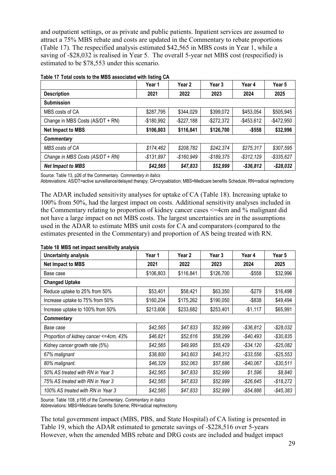and outpatient settings, or as private and public patients. Inpatient services are assumed to attract a 75% MBS rebate and costs are updated in the Commentary to rebate proportions [\(Table 17\)](#page-28-0). The respecified analysis estimated \$42,565 in MBS costs in Year 1, while a saving of -\$28,032 is realised in Year 5. The overall 5-year net MBS cost (respecified) is estimated to be \$78,553 under this scenario.

|                                  | Year 1      | Year 2        | Year 3        | Year 4        | Year 5        |  |  |
|----------------------------------|-------------|---------------|---------------|---------------|---------------|--|--|
| <b>Description</b>               | 2021        | 2022          | 2023          | 2024          | 2025          |  |  |
| <b>Submission</b>                |             |               |               |               |               |  |  |
| MBS costs of CA                  | \$287,795   | \$344,029     | \$399,072     | \$453,054     | \$505,945     |  |  |
| Change in MBS Costs (AS/DT + RN) | $-$180,992$ | $-$ \$227,188 | $-$ \$272,372 | $-$ \$453,612 | $-$472,950$   |  |  |
| <b>Net Impact to MBS</b>         | \$106,803   | \$116,841     | \$126,700     | $-$558$       | \$32,996      |  |  |
| <b>Commentary</b>                |             |               |               |               |               |  |  |
| MBS costs of CA                  | \$174,462   | \$208,782     | \$242,374     | \$275,317     | \$307,595     |  |  |
| Change in MBS Costs (AS/DT + RN) | $-$131,897$ | $-$160,949$   | $-$ \$189,375 | $-$ \$312,129 | $-$ \$335,627 |  |  |
| <b>Net Impact to MBS</b>         | \$42,565    | \$47,833      | \$52,999      | $-$36,812$    | $-$28,032$    |  |  |

#### <span id="page-28-0"></span>**Table 17 Total costs to the MBS associated with listing CA**

Source: Table 13, p26 of the Commentary. *Commentary in italics*

Abbreviations: AS/DT=active surveillance/delayed therapy; CA=cryoablation; MBS=Medicare benefits Schedule; RN=radical nephrectomy

The ADAR included sensitivity analyses for uptake of CA [\(Table](#page-28-1) 18). Increasing uptake to 100% from 50%, had the largest impact on costs. Additional sensitivity analyses included in the Commentary relating to proportion of kidney cancer cases <=4cm and % malignant did not have a large impact on net MBS costs. The largest uncertainties are in the assumptions used in the ADAR to estimate MBS unit costs for CA and comparators (compared to the estimates presented in the Commentary) and proportion of AS being treated with RN.

<span id="page-28-1"></span>**Table 18 MBS net impact sensitivity analysis**

| Uncertainty analysis                   | Year 1    | Year 2    | Year 3    | Year 4       | Year 5       |
|----------------------------------------|-----------|-----------|-----------|--------------|--------------|
| <b>Net Impact to MBS</b>               | 2021      | 2022      | 2023      | 2024         | 2025         |
| Base case                              | \$106,803 | \$116,841 | \$126,700 | $-$ \$558    | \$32,996     |
| <b>Changed Uptake</b>                  |           |           |           |              |              |
| Reduce uptake to 25% from 50%          | \$53,401  | \$58,421  | \$63,350  | $-$279$      | \$16,498     |
| Increase uptake to 75% from 50%        | \$160,204 | \$175,262 | \$190,050 | -\$838       | \$49,494     |
| Increase uptake to 100% from 50%       | \$213,606 | \$233,682 | \$253,401 | $-$1,117$    | \$65,991     |
| <b>Commentary</b>                      |           |           |           |              |              |
| Base case                              | \$42,565  | \$47,833  | \$52,999  | $- $36,812$  | $-$28,032$   |
| Proportion of kidney cancer <=4cm, 43% | \$46,821  | \$52,616  | \$58,299  | $-$40,493$   | $-$30,835$   |
| Kidney cancer growth rate (5%)         | \$42,565  | \$49,995  | \$55,429  | $-$ \$34,120 | $-$ \$25,082 |
| 67% malignant                          | \$38,800  | \$43,603  | \$48,312  | $-$ \$33,556 | $-$ \$25,553 |
| 80% malignant.                         | \$46,329  | \$52,063  | \$57,686  | $-$40,067$   | $-$30,511$   |
| 50% AS treated with RN in Year 3       | \$42,565  | \$47,833  | \$52,999  | \$1,596      | \$8,840      |
| 75% AS treated with RN in Year 3       | \$42,565  | \$47,833  | \$52,999  | $-$ \$26,645 | $-$18,272$   |
| 100% AS treated with RN in Year 3      | \$42,565  | \$47,833  | \$52,999  | $-$54,886$   | $-$45,383$   |

Source: Table 108, p195 of the Commentary. *Commentary in italics* 

Abbreviations: MBS=Medicare benefits Scheme; RN=radical nephrectomy

The total government impact (MBS, PBS, and State Hospital) of CA listing is presented in [Table 19,](#page-29-0) which the ADAR estimated to generate savings of -\$228,516 over 5-years However, when the amended MBS rebate and DRG costs are included and budget impact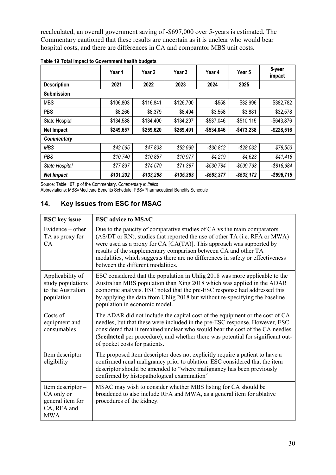recalculated, an overall government saving of -\$697,000 over 5-years is estimated. The Commentary cautioned that these results are uncertain as it is unclear who would bear hospital costs, and there are differences in CA and comparator MBS unit costs.

|                    | Year 1    | Year <sub>2</sub> | Year 3    | Year 4        | Year 5        | 5-year<br>impact |
|--------------------|-----------|-------------------|-----------|---------------|---------------|------------------|
| <b>Description</b> | 2021      | 2022              | 2023      | 2024          | 2025          |                  |
| <b>Submission</b>  |           |                   |           |               |               |                  |
| <b>MBS</b>         | \$106,803 | \$116,841         | \$126,700 | $-$558$       | \$32,996      | \$382,782        |
| <b>PBS</b>         | \$8,266   | \$8,379           | \$8,494   | \$3,558       | \$3,881       | \$32,578         |
| State Hospital     | \$134,588 | \$134,400         | \$134,297 | $-$ \$537,046 | $-$510,115$   | $-$643.876$      |
| <b>Net Impact</b>  | \$249,657 | \$259,620         | \$269,491 | $-$534,046$   | $-$473,238$   | $-$ \$228,516    |
| <b>Commentary</b>  |           |                   |           |               |               |                  |
| <b>MBS</b>         | \$42,565  | \$47,833          | \$52,999  | $-$ \$36,812  | $-$ \$28,032  | \$78,553         |
| PBS                | \$10,740  | \$10,857          | \$10,977  | \$4,219       | \$4,623       | \$41,416         |
| State Hospital     | \$77,897  | \$74,579          | \$71,387  | $- $530,784$  | $-$509,763$   | $-$ \$816,684    |
| <b>Net Impact</b>  | \$131,202 | \$133,268         | \$135,363 | $-$563,377$   | $-$ \$533,172 | $-$ \$696,715    |

<span id="page-29-0"></span>

|  | Table 19 Total impact to Government health budgets |
|--|----------------------------------------------------|
|--|----------------------------------------------------|

Source: Table 107, p of the Commentary. *Commentary in italics*

Abbreviations: MBS=Medicare Benefits Schedule; PBS=Pharmaceutical Benefits Schedule

# **14. Key issues from ESC for MSAC**

| <b>ESC</b> key issue                                                             | <b>ESC advice to MSAC</b>                                                                                                                                                                                                                                                                                                                                                                                                    |
|----------------------------------------------------------------------------------|------------------------------------------------------------------------------------------------------------------------------------------------------------------------------------------------------------------------------------------------------------------------------------------------------------------------------------------------------------------------------------------------------------------------------|
| Evidence $-$ other<br>TA as proxy for<br>CA                                      | Due to the paucity of comparative studies of CA vs the main comparators<br>(AS/DT or RN), studies that reported the use of other TA (i.e. RFA or MWA)<br>were used as a proxy for $CA$ $[CA(TA)]$ . This approach was supported by<br>results of the supplementary comparison between CA and other TA<br>modalities, which suggests there are no differences in safety or effectiveness<br>between the different modalities. |
| Applicability of<br>study populations<br>to the Australian<br>population         | ESC considered that the population in Uhlig 2018 was more applicable to the<br>Australian MBS population than Xing 2018 which was applied in the ADAR<br>economic analysis. ESC noted that the pre-ESC response had addressed this<br>by applying the data from Uhlig 2018 but without re-specifying the baseline<br>population in economic model.                                                                           |
| Costs of<br>equipment and<br>consumables                                         | The ADAR did not include the capital cost of the equipment or the cost of CA<br>needles, but that these were included in the pre-ESC response. However, ESC<br>considered that it remained unclear who would bear the cost of the CA needles<br>(\$redacted per procedure), and whether there was potential for significant out-<br>of pocket costs for patients.                                                            |
| Item descriptor -<br>eligibility                                                 | The proposed item descriptor does not explicitly require a patient to have a<br>confirmed renal malignancy prior to ablation. ESC considered that the item<br>descriptor should be amended to "where malignancy has been previously<br>confirmed by histopathological examination".                                                                                                                                          |
| Item descriptor -<br>CA only or<br>general item for<br>CA, RFA and<br><b>MWA</b> | MSAC may wish to consider whether MBS listing for CA should be<br>broadened to also include RFA and MWA, as a general item for ablative<br>procedures of the kidney.                                                                                                                                                                                                                                                         |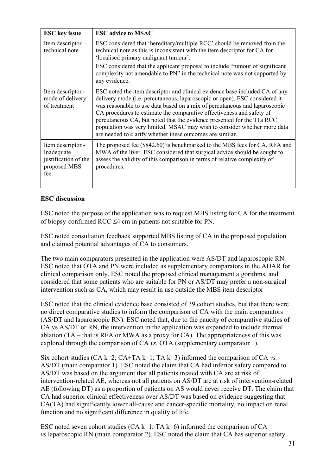| <b>ESC</b> key issue                                                           | <b>ESC advice to MSAC</b>                                                                                                                                                                                                                                                                                                                                                                                                                                                                                                           |
|--------------------------------------------------------------------------------|-------------------------------------------------------------------------------------------------------------------------------------------------------------------------------------------------------------------------------------------------------------------------------------------------------------------------------------------------------------------------------------------------------------------------------------------------------------------------------------------------------------------------------------|
| Item descriptor -<br>technical note                                            | ESC considered that 'hereditary/multiple RCC' should be removed from the<br>technical note as this is inconsistent with the item descriptor for CA for<br>'localised primary malignant tumour'.                                                                                                                                                                                                                                                                                                                                     |
|                                                                                | ESC considered that the applicant proposal to include "tumour of significant"<br>complexity not amendable to PN" in the technical note was not supported by<br>any evidence.                                                                                                                                                                                                                                                                                                                                                        |
| Item descriptor -<br>mode of delivery<br>of treatment                          | ESC noted the item descriptor and clinical evidence base included CA of any<br>delivery mode (i.e. percutaneous, laparoscopic or open). ESC considered it<br>was reasonable to use data based on a mix of percutaneous and laparoscopic<br>CA procedures to estimate the comparative effectiveness and safety of<br>percutaneous CA, but noted that the evidence presented for the T1a RCC<br>population was very limited. MSAC may wish to consider whether more data<br>are needed to clarify whether these outcomes are similar. |
| Item descriptor -<br>Inadequate<br>justification of the<br>proposed MBS<br>fee | The proposed fee (\$842.60) is benchmarked to the MBS fees for CA, RFA and<br>MWA of the liver. ESC considered that surgical advice should be sought to<br>assess the validity of this comparison in terms of relative complexity of<br>procedures.                                                                                                                                                                                                                                                                                 |

# **ESC discussion**

ESC noted the purpose of the application was to request MBS listing for CA for the treatment of biopsy-confirmed RCC ≤4 cm in patients not suitable for PN.

ESC noted consultation feedback supported MBS listing of CA in the proposed population and claimed potential advantages of CA to consumers.

The two main comparators presented in the application were AS/DT and laparoscopic RN. ESC noted that OTA and PN were included as supplementary comparators in the ADAR for clinical comparison only. ESC noted the proposed clinical management algorithms, and considered that some patients who are suitable for PN or AS/DT may prefer a non-surgical intervention such as CA, which may result in use outside the MBS item descriptor

ESC noted that the clinical evidence base consisted of 39 cohort studies, but that there were no direct comparative studies to inform the comparison of CA with the main comparators (AS/DT and laparoscopic RN). ESC noted that, due to the paucity of comparative studies of CA vs AS/DT or RN, the intervention in the application was expanded to include thermal ablation  $(TA - \text{that is } RFA \text{ or } MWA \text{ as a proxy for } CA)$ . The appropriateness of this was explored through the comparison of CA *vs.* OTA (supplementary comparator 1).

Six cohort studies  $(CA k=2; CA+TA k=1; TA k=3)$  informed the comparison of  $CA$  *vs.* AS/DT (main comparator 1). ESC noted the claim that CA had inferior safety compared to AS/DT was based on the argument that all patients treated with CA are at risk of intervention-related AE, whereas not all patients on AS/DT are at risk of intervention-related AE (following DT) as a proportion of patients on AS would never receive DT. The claim that CA had superior clinical effectiveness over AS/DT was based on evidence suggesting that CA(TA) had significantly lower all-cause and cancer-specific mortality, no impact on renal function and no significant difference in quality of life.

ESC noted seven cohort studies (CA k=1; TA k=6) informed the comparison of CA *vs.*laparoscopic RN (main comparator 2). ESC noted the claim that CA has superior safety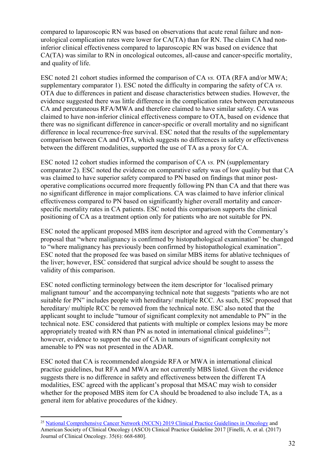compared to laparoscopic RN was based on observations that acute renal failure and nonurological complication rates were lower for CA(TA) than for RN. The claim CA had noninferior clinical effectiveness compared to laparoscopic RN was based on evidence that CA(TA) was similar to RN in oncological outcomes, all-cause and cancer-specific mortality, and quality of life.

ESC noted 21 cohort studies informed the comparison of CA *vs.* OTA (RFA and/or MWA; supplementary comparator 1). ESC noted the difficulty in comparing the safety of CA *vs.*  OTA due to differences in patient and disease characteristics between studies. However, the evidence suggested there was little difference in the complication rates between percutaneous CA and percutaneous RFA/MWA and therefore claimed to have similar safety. CA was claimed to have non-inferior clinical effectiveness compare to OTA, based on evidence that there was no significant difference in cancer-specific or overall mortality and no significant difference in local recurrence-free survival. ESC noted that the results of the supplementary comparison between CA and OTA, which suggests no differences in safety or effectiveness between the different modalities, supported the use of TA as a proxy for CA.

ESC noted 12 cohort studies informed the comparison of CA *vs.* PN (supplementary comparator 2). ESC noted the evidence on comparative safety was of low quality but that CA was claimed to have superior safety compared to PN based on findings that minor postoperative complications occurred more frequently following PN than CA and that there was no significant difference in major complications. CA was claimed to have inferior clinical effectiveness compared to PN based on significantly higher overall mortality and cancerspecific mortality rates in CA patients. ESC noted this comparison supports the clinical positioning of CA as a treatment option only for patients who are not suitable for PN.

ESC noted the applicant proposed MBS item descriptor and agreed with the Commentary's proposal that "where malignancy is confirmed by histopathological examination" be changed to "where malignancy has previously been confirmed by histopathological examination". ESC noted that the proposed fee was based on similar MBS items for ablative techniques of the liver; however, ESC considered that surgical advice should be sought to assess the validity of this comparison.

ESC noted conflicting terminology between the item descriptor for 'localised primary malignant tumour' and the accompanying technical note that suggests "patients who are not suitable for PN" includes people with hereditary/ multiple RCC. As such, ESC proposed that hereditary/ multiple RCC be removed from the technical note. ESC also noted that the applicant sought to include "tumour of significant complexity not amendable to PN" in the technical note. ESC considered that patients with multiple or complex lesions may be more appropriately treated with RN than PN as noted in international clinical guidelines<sup>25</sup>; however, evidence to support the use of CA in tumours of significant complexity not amenable to PN was not presented in the ADAR.

ESC noted that CA is recommended alongside RFA or MWA in international clinical practice guidelines, but RFA and MWA are not currently MBS listed. Given the evidence suggests there is no difference in safety and effectiveness between the different TA modalities, ESC agreed with the applicant's proposal that MSAC may wish to consider whether for the proposed MBS item for CA should be broadened to also include TA, as a general item for ablative procedures of the kidney.

<span id="page-31-0"></span><sup>&</sup>lt;sup>25</sup> [National Comprehensive Cancer Network \(NCCN\) 2019 Clinical Practice Guidelines in O](https://www.nccn.org/professionals/physician_gls/default.aspx#site)ncology and American Society of Clinical Oncology (ASCO) Clinical Practice Guideline 2017 [Finelli, A. et al. (2017) Journal of Clinical Oncology. 35(6): 668-680].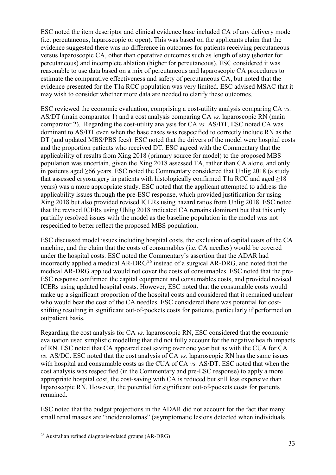ESC noted the item descriptor and clinical evidence base included CA of any delivery mode (i.e. percutaneous, laparoscopic or open). This was based on the applicants claim that the evidence suggested there was no difference in outcomes for patients receiving percutaneous versus laparoscopic CA, other than operative outcomes such as length of stay (shorter for percutaneous) and incomplete ablation (higher for percutaneous). ESC considered it was reasonable to use data based on a mix of percutaneous and laparoscopic CA procedures to estimate the comparative effectiveness and safety of percutaneous CA, but noted that the evidence presented for the T1a RCC population was very limited. ESC advised MSAC that it may wish to consider whether more data are needed to clarify these outcomes.

ESC reviewed the economic evaluation, comprising a cost-utility analysis comparing CA *vs.*  AS/DT (main comparator 1) and a cost analysis comparing CA *vs.* laparoscopic RN (main comparator 2). Regarding the cost-utility analysis for CA *vs.* AS/DT, ESC noted CA was dominant to AS/DT even when the base cases was respecified to correctly include RN as the DT (and updated MBS/PBS fees). ESC noted that the drivers of the model were hospital costs and the proportion patients who received DT. ESC agreed with the Commentary that the applicability of results from Xing 2018 (primary source for model) to the proposed MBS population was uncertain, given the Xing 2018 assessed TA, rather than CA alone, and only in patients aged ≥66 years. ESC noted the Commentary considered that Uhlig 2018 (a study that assessed cryosurgery in patients with histologically confirmed T1a RCC and aged  $\geq$ 18 years) was a more appropriate study. ESC noted that the applicant attempted to address the applicability issues through the pre-ESC response, which provided justification for using Xing 2018 but also provided revised ICERs using hazard ratios from Uhlig 2018. ESC noted that the revised ICERs using Uhlig 2018 indicated CA remains dominant but that this only partially resolved issues with the model as the baseline population in the model was not respecified to better reflect the proposed MBS population.

ESC discussed model issues including hospital costs, the exclusion of capital costs of the CA machine, and the claim that the costs of consumables (i.e. CA needles) would be covered under the hospital costs. ESC noted the Commentary's assertion that the ADAR had incorrectly applied a medical  $AR-DRG<sup>26</sup>$  $AR-DRG<sup>26</sup>$  $AR-DRG<sup>26</sup>$  instead of a surgical  $AR-DRG$ , and noted that the medical AR-DRG applied would not cover the costs of consumables. ESC noted that the pre-ESC response confirmed the capital equipment and consumables costs, and provided revised ICERs using updated hospital costs. However, ESC noted that the consumable costs would make up a significant proportion of the hospital costs and considered that it remained unclear who would bear the cost of the CA needles. ESC considered there was potential for costshifting resulting in significant out-of-pockets costs for patients, particularly if performed on outpatient basis.

Regarding the cost analysis for CA *vs.* laparoscopic RN, ESC considered that the economic evaluation used simplistic modelling that did not fully account for the negative health impacts of RN. ESC noted that CA appeared cost saving over one year but as with the CUA for CA *vs.* AS/DC. ESC noted that the cost analysis of CA *vs.* laparoscopic RN has the same issues with hospital and consumable costs as the CUA of CA *vs.* AS/DT. ESC noted that when the cost analysis was respecified (in the Commentary and pre-ESC response) to apply a more appropriate hospital cost, the cost-saving with CA is reduced but still less expensive than laparoscopic RN. However, the potential for significant out-of-pockets costs for patients remained.

ESC noted that the budget projections in the ADAR did not account for the fact that many small renal masses are "incidentalomas" (asymptomatic lesions detected when individuals

<span id="page-32-0"></span> <sup>26</sup> Australian refined diagnosis-related groups (AR-DRG)